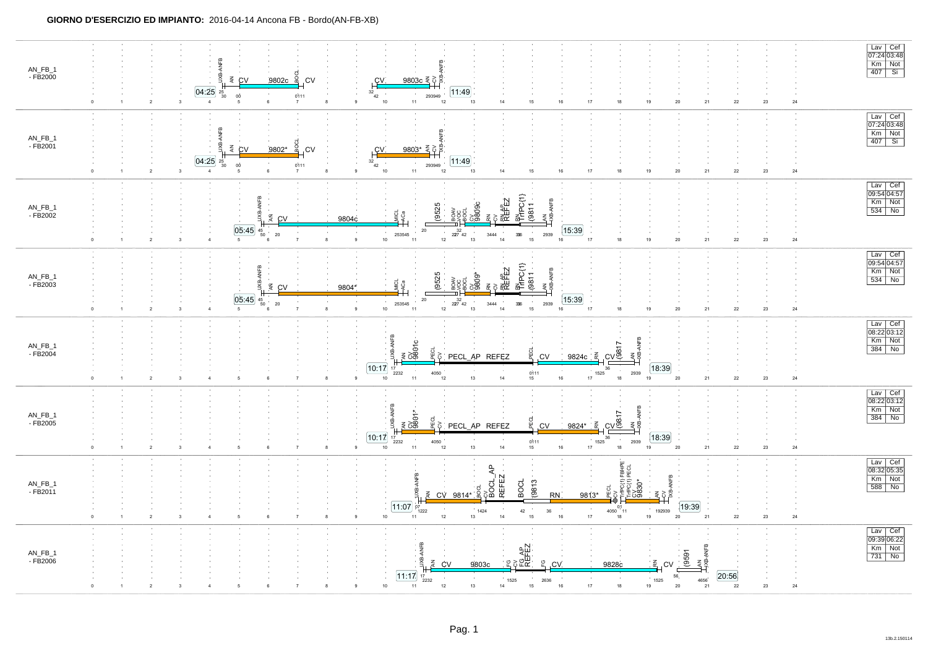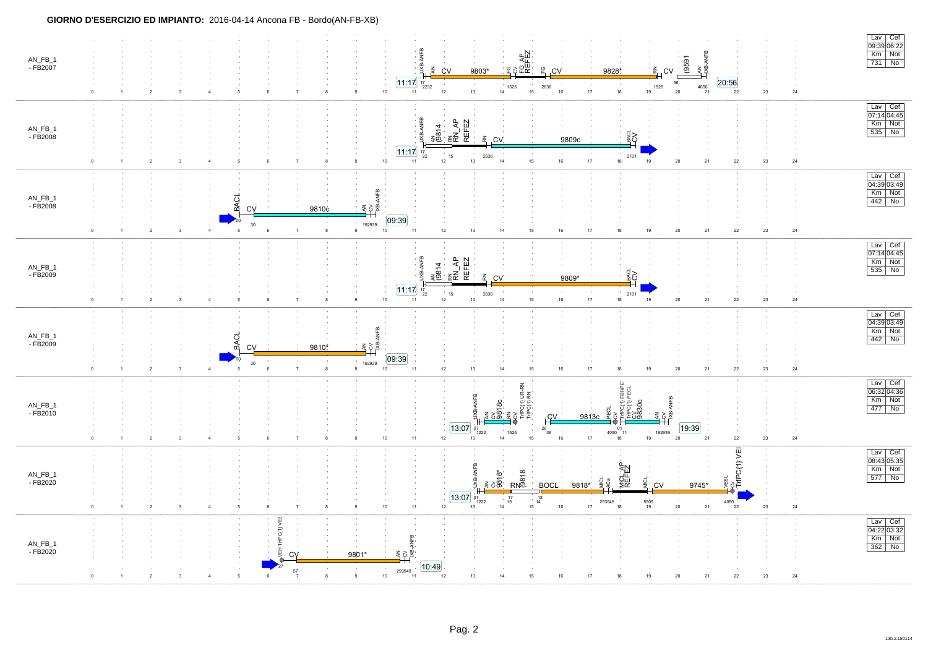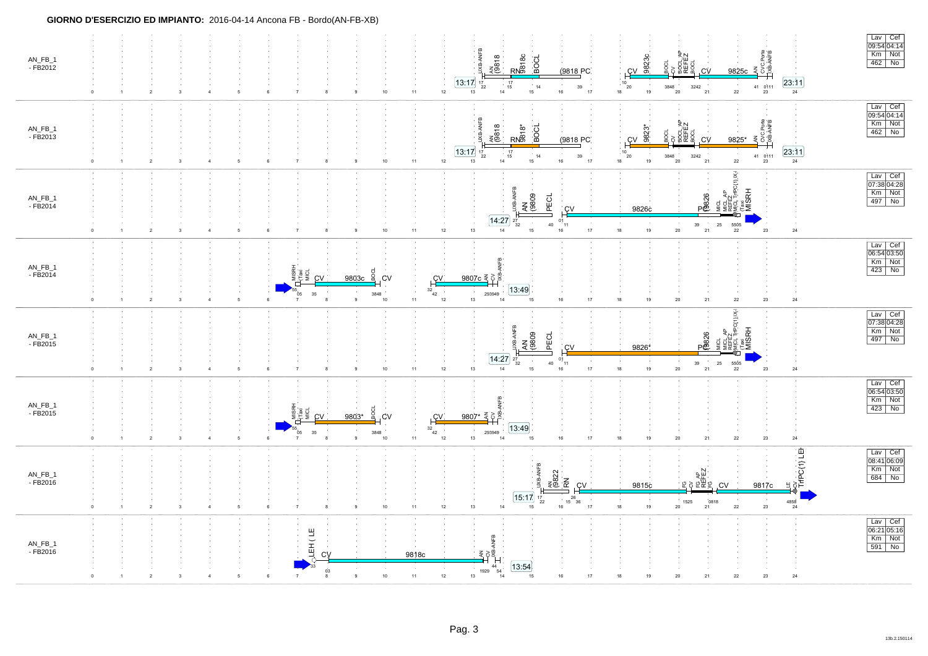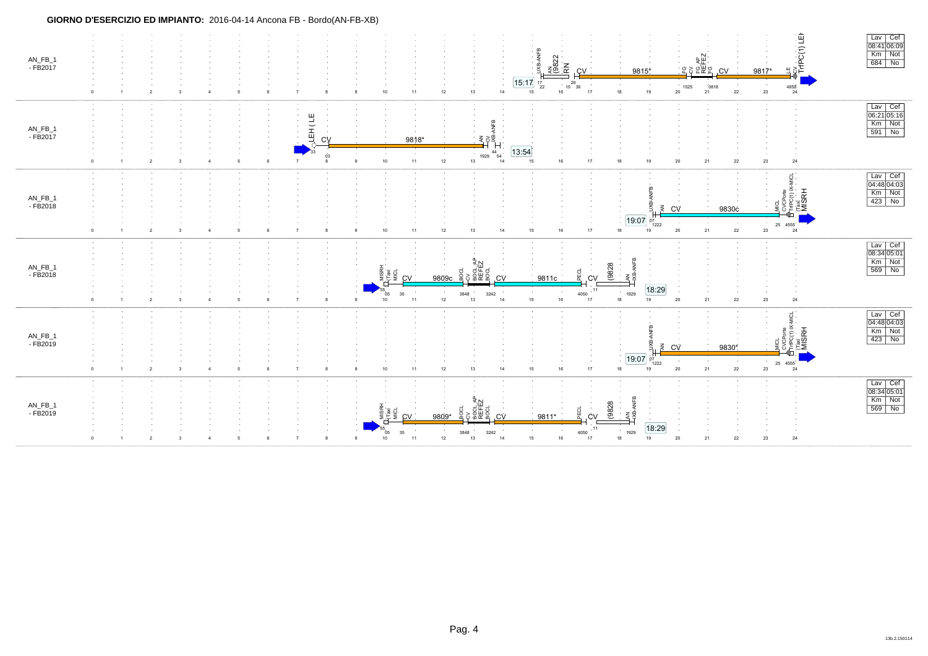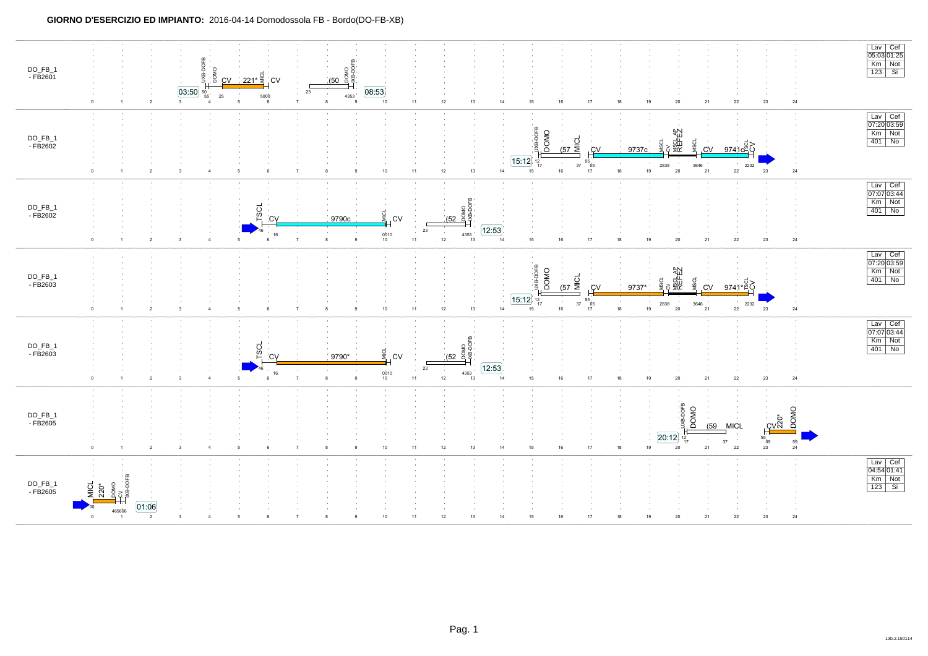### **GIORNO D'ESERCIZIO ED IMPIANTO:** 2016-04-14 Domodossola FB - Bordo(DO-FB-XB)

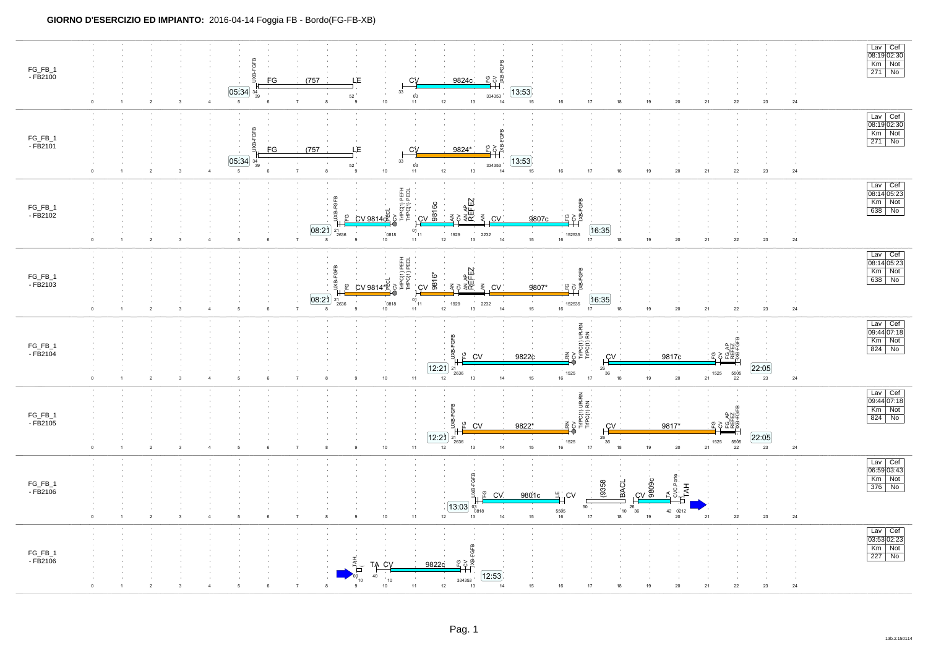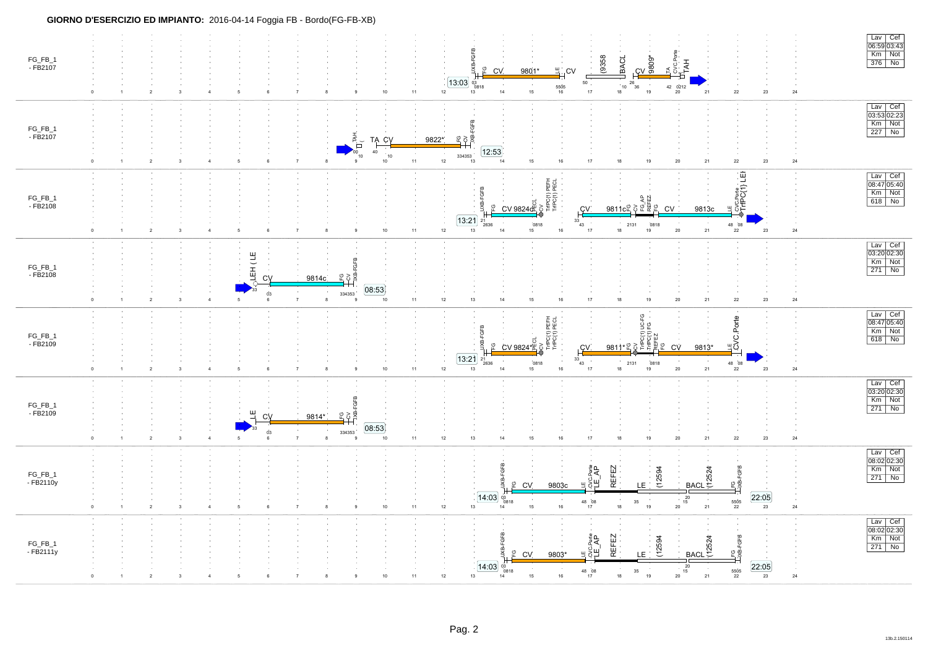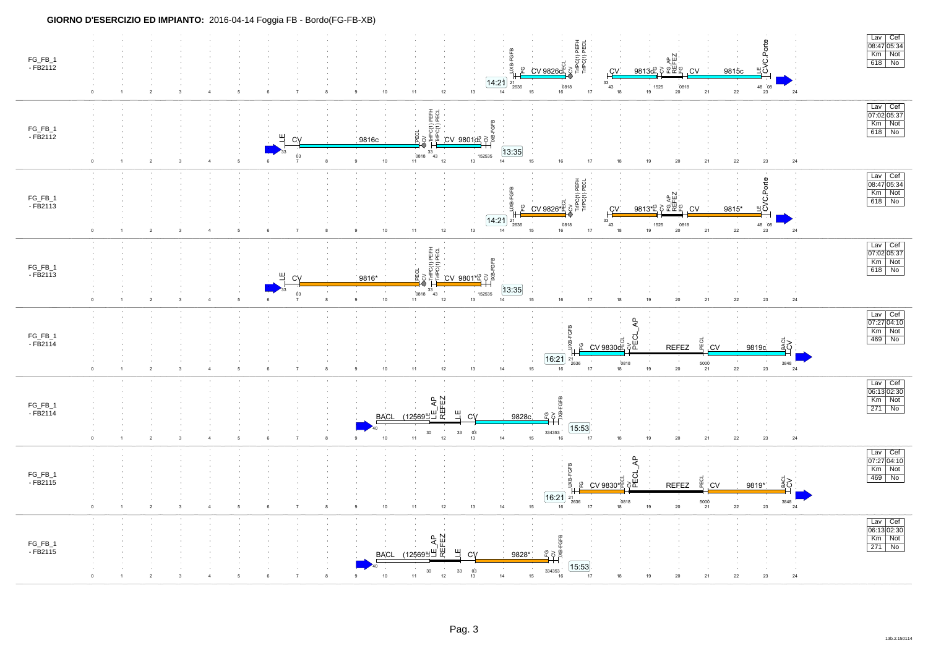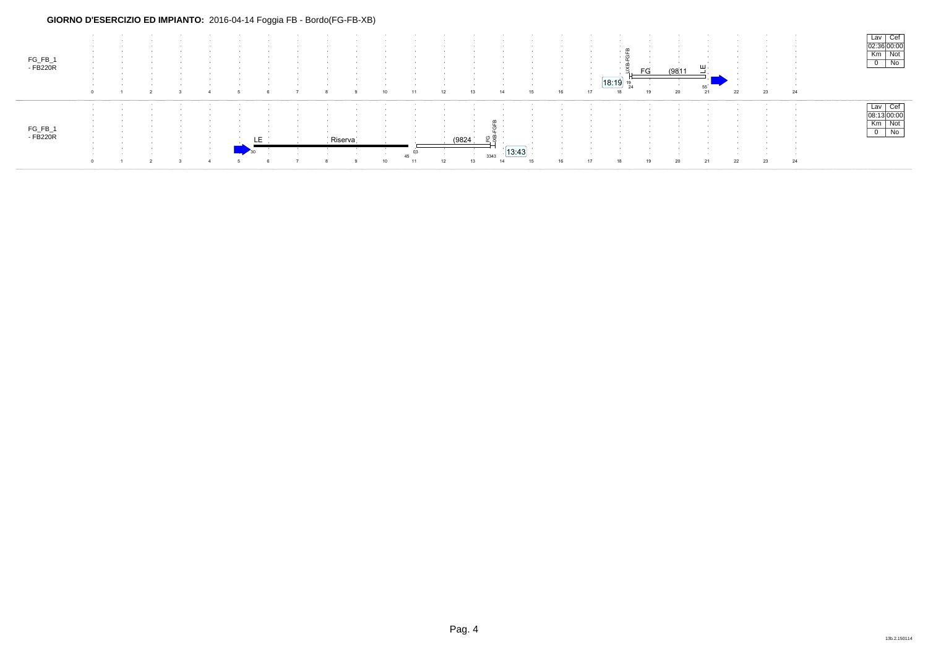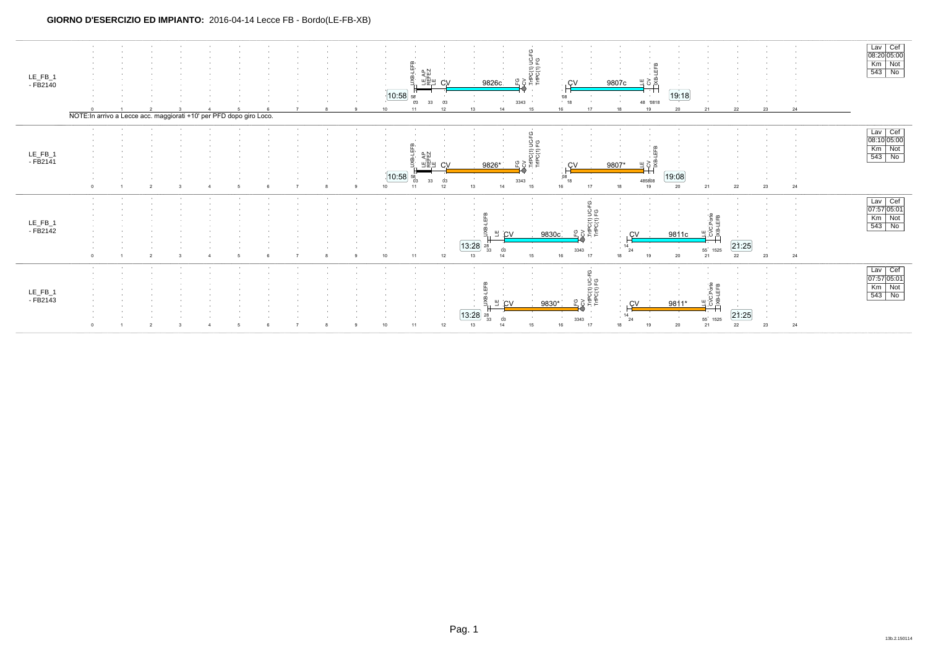| LE_FB_1<br>- FB2140 | NOTE: In arrivo a Lecce acc. maggiorati +10' per PFD dopo giro Loco. |  |  |  |  | 10:58 <br>10 | 11 | 0 <sup>3</sup><br>12 | 3343<br>13<br>14         | O<br>C(1) UC-<br>C(1) FG<br>15 | 08<br>18<br>16<br>17                                                 | 18       | 48 '0818<br>19 | 19:18<br>20 | 21      | 22          | 23 | 24                             | Lav Cef<br>08:20 05:00<br>$\begin{array}{ c c c }\hline \text{Km} & \text{Not} \ \hline 543 & \text{No} \\\hline \end{array}$ |
|---------------------|----------------------------------------------------------------------|--|--|--|--|--------------|----|----------------------|--------------------------|--------------------------------|----------------------------------------------------------------------|----------|----------------|-------------|---------|-------------|----|--------------------------------|-------------------------------------------------------------------------------------------------------------------------------|
| LE_FB_1<br>- FB2141 | $\Omega$                                                             |  |  |  |  | 10:58        |    | 12                   | 9826<br>3343<br>14<br>13 | ပူ<br>ទំ<br>ខ្ញុំ ខ្ញុ         | 08<br>18<br>16                                                       | 18       | 48580<br>19    | 19:08<br>20 | 21      | 22          | 23 | 24                             | Lav Cef<br>08:10 05:00<br>Km Not<br>543 No                                                                                    |
| LE_FB_1<br>- FB2142 | <b>COLLEGE</b><br>$\Omega$                                           |  |  |  |  |              | 11 | 12                   | 13:28                    | 9830<br>15                     | 14.<br><b>State</b><br>$\circ$<br>보다<br>지수<br>기후<br>3343<br>16<br>17 | 14<br>18 |                | 9811c       |         | 21:25<br>22 | 23 | <b>COL</b><br><b>COL</b><br>24 | Lav Cef<br>07:57 05:01<br>Km Not<br>543 No                                                                                    |
| LE_FB_1<br>- FB2143 | <b>COLLEGE</b><br>$\Omega$                                           |  |  |  |  |              | 11 |                      | 13:28                    | 9830                           | O<br>541 PG<br>541 PG<br>3343<br>17                                  | 14<br>18 |                | 9811        | m<br>55 | 21:25<br>22 | 23 | $\sim$<br>$\sim$<br>24         | Lav Cef<br>07:57 05:01<br>Km Not<br>543 No                                                                                    |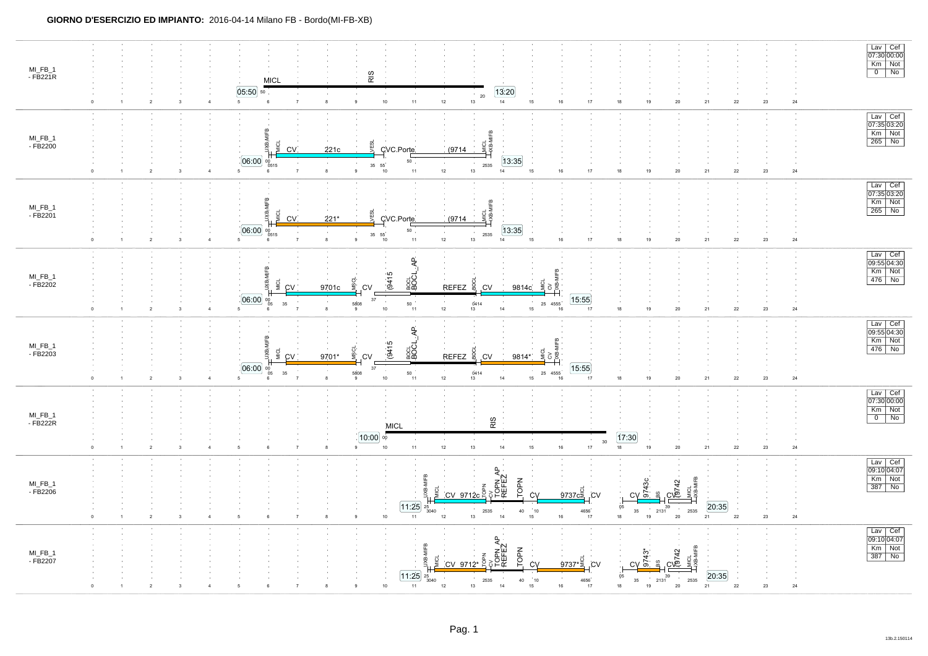| MI_FB_1<br>- FB221R                | $\overline{2}$<br>$\mathbf{1}$<br>$\overline{\mathbf{3}}$ | RIS<br><b>MICL</b><br>05:50<br>50<br>$5\phantom{.0}$<br>$\,6\,$<br>$\overline{7}$<br>8<br>9                                                                                          | 13:20<br>$20\,$<br>14<br>$12\,$<br>13<br>15<br>$10$<br>11                                                                                                                                                                             | 16<br>17<br>18<br>19<br>20<br>21                                                                                                                                                                         | 22<br>23<br>24                                   | Lav Cef<br>07:30 00:00<br>Km Not<br>$\overline{0}$ No    |
|------------------------------------|-----------------------------------------------------------|--------------------------------------------------------------------------------------------------------------------------------------------------------------------------------------|---------------------------------------------------------------------------------------------------------------------------------------------------------------------------------------------------------------------------------------|----------------------------------------------------------------------------------------------------------------------------------------------------------------------------------------------------------|--------------------------------------------------|----------------------------------------------------------|
| MI_FB_1<br>- FB2200                | $\overline{2}$                                            | UXB-MIFB<br>g<br>ÆSL<br>221c<br>CV.<br>[06:00]<br>$^{00}_{0515}$<br>$\begin{array}{cc} 35 & 55 \\ & 10 \end{array}$<br>$5\overline{5}$<br>$\overline{7}$<br>8<br>$\mathfrak{g}$<br>6 | <b>Lime</b><br>Lime<br>Lime<br>CVC.Porte<br>(9714)<br>13:35<br>50<br>2535<br>$12\,$<br>11<br>13<br>15<br>14                                                                                                                           | 16<br>$17$<br>$18\,$<br>$19$<br>$20\,$<br>21                                                                                                                                                             | $24\,$<br>${\bf 22}$<br>23                       | Lav Cef<br>07:35 03:20<br>Km Not<br>$\frac{100}{265}$ No |
| $MI_FB_1$<br>$-FB2201$             |                                                           | ۾<br>MICL<br>ÆSL<br>g<br>CV.<br>$221*$<br>[06:00]<br>$\begin{array}{cc} 35 & 55 \\ & 10 \end{array}$<br>$5^{\circ}$<br>8<br>9                                                        | 핮<br>CVC.Porte<br>(9714)<br>13:35<br>50<br>2535<br>$12\,$<br>15<br>11<br>13<br>14                                                                                                                                                     | 16<br>$17\,$<br>$18\,$<br>19<br>20<br>21                                                                                                                                                                 | $22\,$<br>23<br>24                               | Lav Cef<br>07:35 03:20<br>Km Not<br>$265$ No             |
| MI_FB_1<br>- FB2202                | $\overline{2}$<br>$\overline{\mathbf{3}}$                 | $\omega$<br><b>MICL</b><br>JXB.<br><b>CV</b><br>9701c<br><b>CV</b><br>06:00<br>37<br>$^{00}_{05}$<br>$\sim$<br>5808<br>35<br>5 <sub>5</sub><br>$\overline{7}$<br>8<br>9<br>6         | BOCL_AP<br>(9415)<br>REFEZ <sup>5</sup><br>, CV<br>9814c<br>50<br>$\frac{0414}{13}$<br>$10\,$<br>$12\,$<br>$14\,$<br>15 <sub>15</sub><br>$11$                                                                                         | [15:55]<br>25 4555<br>${\bf 18}$<br>19<br>$\mathbf{21}$<br>16<br>17<br>$20\,$                                                                                                                            | $24\,$<br>$\bf 22$<br>23                         | Lav Cef<br>09:55 04:30<br>Km Not<br>476 No               |
| MI_FB_1<br>- FB2203                | $\overline{2}$                                            | ſ₿<br>MICL<br>VSCI<br>š<br>CV<br>9701*<br>.CV<br>06:00<br>37<br>00<br>05<br>35<br>5808<br>$\overline{7}$<br>5 <sub>5</sub><br>8<br>$_{9}$<br>6                                       | BOCL_AP<br>(9415)<br><b>REFEZ</b><br>္မွ<br>, CV<br>9814*<br>50<br>0414<br>$12\,$<br>$14\,$<br>$10\,$<br>11<br>13<br>15                                                                                                               | Ξ<br>$rac{1}{2}$ $rac{1}{2}$ $rac{1}{2}$ $rac{1}{2}$ $rac{1}{2}$ $rac{1}{2}$ $rac{1}{2}$ $rac{1}{2}$ $rac{1}{2}$ $rac{1}{2}$<br>15:55<br>25 4555<br>17<br>$18\,$<br>19<br>21<br>16<br>20                 | $22\,$<br>23<br>24                               | Lav Cef<br>09:55 04:30<br>Km Not<br>476 No               |
| MI_FB_1<br>- FB222R<br>$\Omega$    | $\overline{2}$                                            | [10:00]<br>$\overline{7}$<br>9<br>5<br>6<br>8                                                                                                                                        | RIS<br><b>MICL</b><br>00<br>$13\,$<br>15<br>$10\,$<br>11<br>$12\,$<br>14                                                                                                                                                              | 17:30<br>$30\,$<br>$16\,$<br>$18\,$<br>17<br>19<br>$20\,$<br>21                                                                                                                                          | ${\bf 22}$<br>24<br>23                           | Lav Cef<br>07:30 00:00<br>Km Not<br>$\overline{0}$ No    |
| $MI_FB_1$<br>$-FB2206$<br>$\Omega$ | $\overline{2}$<br>$\mathbf{1}$<br>-3                      | $_{9}$<br>5<br>6<br>$\overline{7}$<br>8                                                                                                                                              | TOPN AP<br>REFEZ<br>¶≞<br>TOPN<br>CV 9712c<br>Ċ٧<br>$\overline{11:25}$ $25 \over 3040$<br>40<br>$\begin{array}{c} 10 \\ 15 \end{array}$<br>2535<br>$10\,$<br>11<br>$12\,$<br>13<br>14                                                 | $C_V \frac{32}{5}$<br>CV <sub>0</sub><br>CV <sub>0</sub><br>9737cs<br>š<br>.cv<br>2131<br>05<br>2535<br>35<br>4656<br>19<br>$20\,$<br>16<br>18<br>21<br>17                                               | 20:35<br>$22\,$<br>$23\,$<br>24                  | Lav Cef<br>09:10 04:07<br>Km Not<br>$387$ No             |
| MI_FB_1<br>$-FB2207$               |                                                           |                                                                                                                                                                                      | <b>CV</b><br>TOPN AP<br>REFEZ<br>MIFB<br>TOPN<br>B-<br><b>DI</b><br>$CV 9712*$<br><b>CV</b><br>$\overline{11:25}$ $25$ <sub>3040</sub><br>$\begin{array}{c} 10 \\ 15 \end{array}$<br>$40\,$<br>2535<br>$10$<br>11<br>12<br>$13$<br>14 | $rac{6}{6}$<br>$C\sqrt{\frac{5}{97}}$<br>Циед<br>Цувам<br>$9737*$<br>$\frac{6}{5}$<br>.CV<br>05<br>$\begin{array}{c} 39 \\ 2131 \end{array}$<br>2535<br>$35\,$<br>4656<br>18<br>19<br>$20\,$<br>16<br>17 | $\frac{20:35}{21}$<br>$24\,$<br>$22\,$<br>$23\,$ | Lav Cef<br>09:10 04:07<br>Km Not<br>387 No               |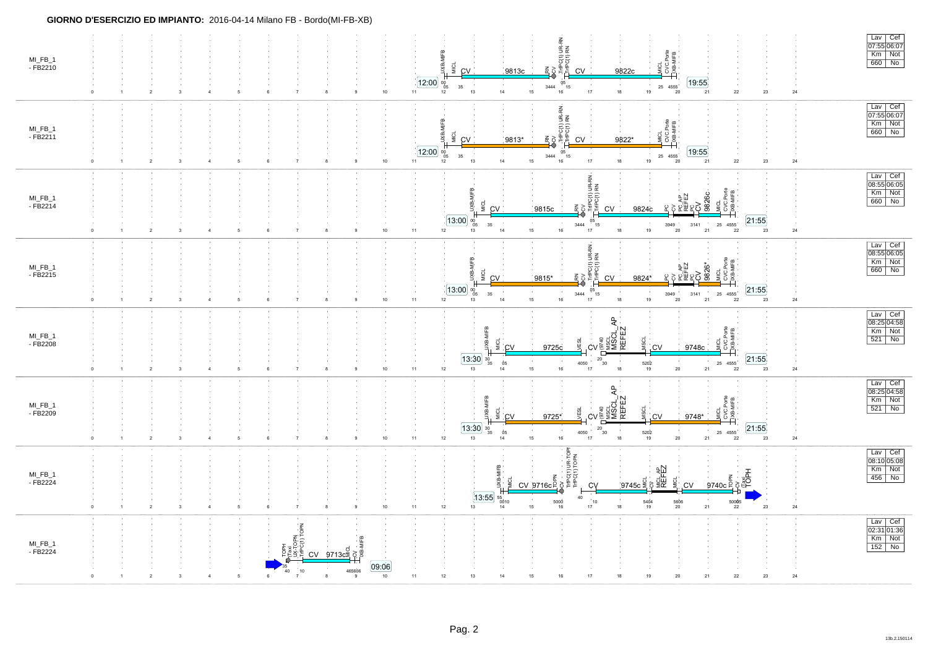| MI_FB_1<br>$-FB2210$   | $\overline{2}$                               | 3                                         | $\overline{7}$                                                                                                                                              | 10<br>11<br>9                                                                         | TripC(1) UR-F<br>TripC(1) RN<br>MIFB<br>CVC.Porte<br>EXB-MIFB<br>MICL<br>š<br>₫<br>쥰<br>CV<br>9813c<br>CV<br>9822c<br>[12:00]<br>[19:55]<br>$05$ <sub>15</sub><br>00<br>05<br>$\sim 10^{-1}$<br>$\sim$<br>3444<br>25 4555<br>35<br>14<br>15<br>$16\,$<br>$18\,$<br>12<br>13<br>$17\,$<br>19<br>20<br>21<br>$\bf 22$<br>$23\,$<br>${\bf 24}$                                               | Lav Cef<br>$\overline{07:55 06:07}$<br>Km Not<br>$660$ No                                                                 |
|------------------------|----------------------------------------------|-------------------------------------------|-------------------------------------------------------------------------------------------------------------------------------------------------------------|---------------------------------------------------------------------------------------|-------------------------------------------------------------------------------------------------------------------------------------------------------------------------------------------------------------------------------------------------------------------------------------------------------------------------------------------------------------------------------------------|---------------------------------------------------------------------------------------------------------------------------|
| $MI_FB_1$<br>$-FB2211$ | $\overline{\mathbf{2}}$<br>$\overline{1}$    | $\mathbf{3}$<br>$\overline{4}$            | $\overline{7}$<br>6                                                                                                                                         | 10<br>11<br>8<br>9                                                                    | 로<br>이 문<br>이 문<br>MIFB<br>$\frac{1}{2}$<br>MICL<br>IXR-<br>일<br>$rac{1}{2}$<br>중종<br>9813*<br><b>CV</b><br>9822*<br>CV<br>12:00<br>19:55<br>$05$ <sub>15</sub><br>$\mathop{00}\limits_{\mathbf{05}}$<br>$\sim$ 10 $\pm$<br>35<br>3444<br>25 4555<br>14<br>$17\,$<br>$18\,$<br>$15\,$<br>$16\,$<br>$22\,$<br>$\bf 24$<br>13<br>19<br>21<br>$23\,$<br>$12\,$<br>$20\,$                     | $\begin{array}{ l } \hline \text{Lav} & \text{Cef} \\ \hline 07:55 \vert 06:07 \hline \end{array}$<br>Km Not<br>$660$ No  |
| $MI_FB_1$<br>$-FB2214$ | $\overline{2}$<br>$\overline{1}$<br>$\Omega$ | $\overline{\mathbf{3}}$<br>$\overline{4}$ | $\overline{7}$<br>6                                                                                                                                         | $10\,$<br>$11$<br>8                                                                   | 쥰<br>JRN<br>XCV<br>TrfPC(1) UR-F<br>TrfPC(1) RN<br>ē<br>9826c<br><sub>호텔</sub><br>이번 이 <u>수</u><br>이번 있습니다.<br>MICL<br>ŠК<br><b>CV</b><br>9815c<br>CV<br>9824c<br>13:00<br>21:55<br>$05$ <sub>15</sub><br>$\substack{00 \ 05}$<br>$\sim$<br>35<br>3444<br>3141<br>25 4555<br>3949<br>$15\,$<br>19<br>21<br>12<br>14<br>$16\,$<br>$17\,$<br>18<br>20<br>$22\,$<br>$23\,$<br>$\bf 24$<br>13 | $\begin{array}{ c c } \hline \text{Lav} & \text{Cef} \\ \hline 08:55 & 06:05 \\ \hline \end{array}$<br>Km Not<br>660 No   |
| $MI_FB_1$<br>$-FB2215$ | $\overline{2}$<br>$\Omega$<br>$\overline{1}$ | $\mathsf 3$<br>$\overline{4}$             | $\overline{7}$                                                                                                                                              | $11$<br>$10\,$                                                                        | ד הודיס (ז) שר-RN.<br>בתריס (ז) RN<br>요<br>오 있습니다<br>오 있습니다<br>오 있습니다.<br>း<br>၁၉ နိုင်<br>MiCL<br>ЭŠ<br>ĎЖ.<br>쥰<br>CV<br>9815*<br>CV<br>9824*<br>13:00<br>21:55<br>$05$ <sub>15</sub><br>$\mathbf{^{00}_{05}}$<br>25 4555<br>35<br>3444<br>3949<br>3141<br>$15\,$<br>$17\,$<br>$\mathbf{21}$<br>14<br>$16\,$<br>$18\,$<br>19<br>20<br>$22\,$<br>$\bf 24$<br>12<br>13<br>$23\,$          | Lav Cef<br>08:55 06:05<br>Km Not<br>660 No                                                                                |
| MI_FB_1<br>- FB2208    | $\overline{2}$<br>$\overline{1}$             | $\mathbf{3}$<br>$\overline{4}$            | $\overline{7}$<br>-5<br>-6                                                                                                                                  | $11 -$<br>$10$<br>8<br>9                                                              | ₽<br><b>ASC<br/>NSC</b><br>REFI<br><b>SE</b><br>ysci<br>Ťхе<br>CV<br>9725c<br>CV<br>Ċ٧<br>9748c<br>[13:30]<br>21:55<br>$rac{L}{20}$ 30<br>$\frac{30}{35}$<br>$\begin{array}{c} 4050 \\ 17 \end{array}$<br>25 4555<br>22<br>$\begin{array}{c} 5202 \\ 19 \end{array}$<br>05<br>$16\,$<br>$18\,$<br>12<br>13<br>15<br>$20\degree$<br>21<br>$23\,$<br>$\bf 24$<br>14                         | $\begin{array}{ c c } \hline \text{Lav} & \text{Cef} \\ \hline 08:25 & 04:58 \\ \hline \end{array}$<br>Km Not<br>$521$ No |
| $MI_FB_1$<br>- FB2209  | $\overline{2}$                               | 3                                         | $\overline{7}$                                                                                                                                              | $11 -$<br>10<br>8<br>9                                                                | $\overline{A}$<br>MICL<br><b>SCI</b><br>찙<br>ġ<br>SSS<br>NSS<br>9725*<br><b>CV</b><br><b>CV</b><br>9748*<br>C١<br>13:30<br>21:55<br>$rac{L}{30}$<br>$\frac{30}{35}$<br>4050<br>25 4555<br>Ò5<br>5202<br>12<br>13<br>15<br>$16\,$<br>17<br>$18\,$<br>19<br>$20\,$<br>21<br>22<br>23<br>$\bf 24$<br>14                                                                                      | Lav Cef<br>08:25 04:58<br>Km Not<br>$521$ No                                                                              |
| MI_FB_1<br>- FB2224    | $\overline{2}$<br>$\overline{1}$             | $\mathbf{3}$<br>$\overline{4}$            | $\overline{7}$<br>$\sqrt{5}$<br>6                                                                                                                           | $11$<br>$10$<br>8<br>9                                                                | UR-TOPI<br>TOPN<br>MICLAP<br>REFEZ<br>$\overline{\xi}\overline{\xi}$<br>g<br>$\frac{9745c}{5}$ is<br><b>D</b><br>₽Ö<br><u>CV 9716c0</u><br>ĊV<br>.CV<br>9740c <sup>⊵</sup><br> 13:55 <br>40<br>$^{55}_{0010}$<br>$\sim$<br>$\sim$<br>$5000$<br>10<br>5606<br>20<br>50005<br>5404<br>$12\,$<br>$15\,$<br>21<br>$\bf{24}$<br>13<br>$17\,$<br>$18\,$<br>16<br>19<br>22<br>23<br>14           | Lav Cef<br>08:10 05:08<br>Km Not<br>456 No                                                                                |
| $MI_FB_1$<br>$-FB2224$ |                                              |                                           | $\begin{tabular}{ c c } \hline \text{TOPH} \\ \hline \text{CRA} \\ \hline \text{UX-TOPM} \\ \hline \text{F-CTP} \\ \hline \end{tabular}$<br>$10^{-1}$<br>40 | $\frac{C}{2713c^2}$ $\frac{d}{d}$ $\frac{d}{d}$<br>09:06<br>465606<br>$10$<br>11<br>8 | 12<br>13<br>15<br>20<br>$21\,$<br>$22\,$<br>23<br>$\bf 24$<br>14<br>19                                                                                                                                                                                                                                                                                                                    | Lav Cef<br>02:31 01:36<br>Km Not<br>$152$ No                                                                              |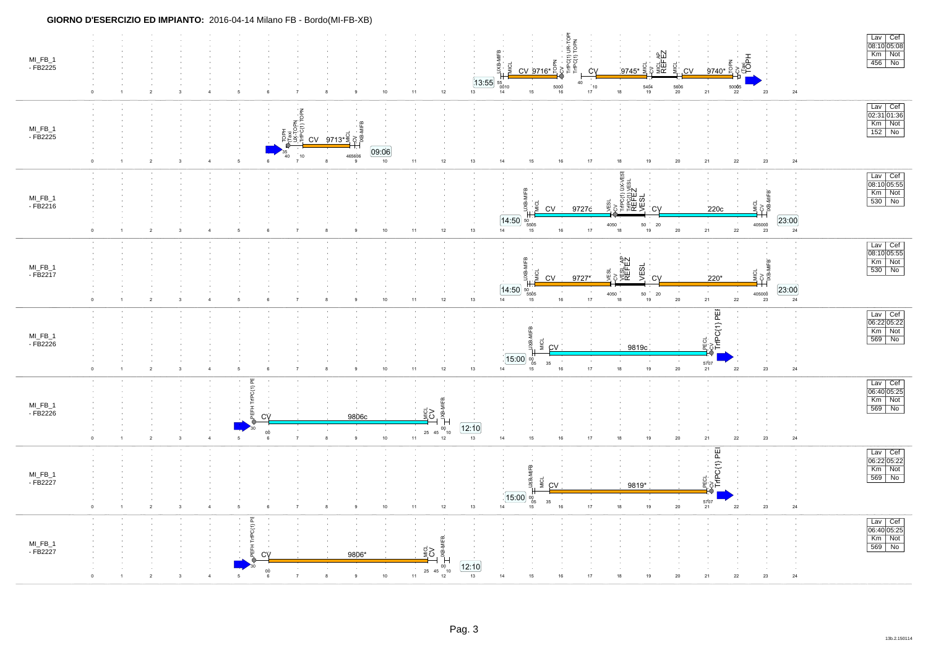| MI_FB_1<br>$-FB2225$ |          | $\overline{2}$<br>$\mathbf{3}$            | $\mathbf 5$<br>$\overline{4}$    | 6                                                  | $\overline{7}$<br>9                                                                                                                                 | $10\,$          | [13:55]<br>12<br>11<br>13                                                                                                                                                     | $CV 9716* \frac{2}{5}$<br>ŠР.<br>$\begin{array}{c} 55 \\ 0010 \\ 14 \end{array}$<br>5000<br>15<br>16 | TriPC(1) UR-TOPI<br>TriPC(1) TOPN<br>cy<br>MICLAP<br>REFEZ<br>CV<br>40<br>$\begin{array}{c} 10 \\ 17 \end{array}$<br>$\frac{5404}{19}$<br>$18\,$ | $9740*$ <sup><math>\circ</math></sup><br>.CV<br>$\frac{5606}{20}$<br>$\frac{50005}{22}$<br>${\bf 21}$ | あ。<br>이후<br>$24\,$<br>$23\,$                                                                                                                                                                                                                                                                                                                                                                                                                                                                                                   | $\frac{Law}{08:10 05:08}$<br>Km Not<br>$456$ No                                                                                          |
|----------------------|----------|-------------------------------------------|----------------------------------|----------------------------------------------------|-----------------------------------------------------------------------------------------------------------------------------------------------------|-----------------|-------------------------------------------------------------------------------------------------------------------------------------------------------------------------------|------------------------------------------------------------------------------------------------------|--------------------------------------------------------------------------------------------------------------------------------------------------|-------------------------------------------------------------------------------------------------------|--------------------------------------------------------------------------------------------------------------------------------------------------------------------------------------------------------------------------------------------------------------------------------------------------------------------------------------------------------------------------------------------------------------------------------------------------------------------------------------------------------------------------------|------------------------------------------------------------------------------------------------------------------------------------------|
| MI_FB_1<br>- FB2225  |          | $\overline{2}$<br>$\mathbf{3}$            | 5<br>$\Delta$                    | 40<br>$6 \,$                                       | $\frac{d}{dx} \frac{d}{dx} \frac{d}{dx} \frac{d}{dx}$<br>CV 9713* $\frac{d}{dx} \frac{d}{dx} \frac{d}{dx}$<br>465606<br>10 <sup>10</sup><br>8<br>-9 | 09:06<br>10     | 12<br>$11 -$<br>$13\,$                                                                                                                                                        | $15\,$<br>16<br>14                                                                                   | $19$<br>17<br>$18\,$                                                                                                                             | $20\,$<br>${\bf 21}$<br>$22\,$                                                                        | 23<br>24                                                                                                                                                                                                                                                                                                                                                                                                                                                                                                                       | $\frac{Law}{02:31}$ 01:36<br>$Km$ Not<br>$152$ No                                                                                        |
| MI_FB_1<br>- FB2216  |          | $\overline{2}$<br>3                       |                                  |                                                    | 9                                                                                                                                                   | 10              | 13<br>$12\,$<br>11                                                                                                                                                            | ë<br>α<br>C <sub>V</sub><br> 14:50 <br>$\frac{50}{5505}$<br>14<br>15<br>16                           | 믱<br>persi<br>SELEZ<br>SELECT<br>鼫<br>9727c<br>C<br><b>COL</b><br>4050<br>50<br>20<br>17<br>18<br>19                                             | 220c<br>$\sim$ 10<br>$\mathbf{21}$<br>$20\,$<br>${\bf 22}$                                            | $\frac{1}{2}$ $\frac{1}{2}$ $\frac{1}{2}$ $\frac{1}{2}$ $\frac{1}{2}$ $\frac{1}{2}$ $\frac{1}{2}$ $\frac{1}{2}$ $\frac{1}{2}$ $\frac{1}{2}$ $\frac{1}{2}$ $\frac{1}{2}$ $\frac{1}{2}$ $\frac{1}{2}$ $\frac{1}{2}$ $\frac{1}{2}$ $\frac{1}{2}$ $\frac{1}{2}$ $\frac{1}{2}$ $\frac{1}{2}$ $\frac{1}{2}$ $\frac{1}{2}$<br>23:00<br>405000<br>$\overline{24}$<br>23                                                                                                                                                                | $\frac{Law}{08:10 05:55}$<br>$Km$ Not<br>530 No                                                                                          |
| MI_FB_1<br>- FB2217  | $\Omega$ | $\overline{2}$<br>$\mathbf{3}$            | $\overline{5}$<br>$\overline{4}$ | 6                                                  | $\overline{7}$<br>9<br>-8                                                                                                                           | $10\,$          | $12\,$<br>$13$<br>11 <sub>1</sub>                                                                                                                                             | 1⊪B<br><b>DIR</b><br>맞<br><b>CV</b><br>14:50<br>50<br>5505<br>14<br>16<br>15                         | cv<br>YESLAP<br>REFEZ<br><b>VESL</b><br>ESL<br>9727*<br><b>CV</b><br>4050<br>50<br>20<br>17<br>18<br>19                                          | 220*<br>$20\,$<br>${\bf 21}$<br>$\bf 22$                                                              | $\begin{array}{c}\n\frac{1}{2} \text{ and } \\ \frac{1}{2} \text{ and } \\ \frac{1}{2} \text{ and } \\ \frac{1}{2} \text{ and } \\ \frac{1}{2} \text{ and } \\ \frac{1}{2} \text{ and } \\ \frac{1}{2} \text{ and } \\ \frac{1}{2} \text{ and } \\ \frac{1}{2} \text{ and } \\ \frac{1}{2} \text{ and } \\ \frac{1}{2} \text{ and } \\ \frac{1}{2} \text{ and } \\ \frac{1}{2} \text{ and } \\ \frac{1}{2} \text{ and } \\ \frac{1}{2} \text{ and } \\ \frac{1}{2} \text{ and } \\ \frac{1$<br>23:00<br>405000<br>$24\,$<br>23 | Lav Cef<br>$\overline{08:10 05:55}$<br>$\frac{km}{km}$ Not                                                                               |
| MI_FB_1<br>- FB2226  |          | $\overline{2}$<br>3                       | 5<br>$\sqrt{4}$                  | 6                                                  |                                                                                                                                                     | $10\,$          | $11$<br>12<br>13                                                                                                                                                              | ¶⊪<br>MICL<br>g<br>CV<br>15:00<br>$\substack{00\\05}$<br>35<br>14<br>15<br>16                        | 9819c<br>$\sim$<br>$\sim$<br>17<br>$18\,$<br>$19$                                                                                                | Nov<br>TriPC{1} PEF<br>ECL<br>5707<br>21<br>$20\,$<br>$\bf 22$                                        | 23<br>$\mathbf{24}$                                                                                                                                                                                                                                                                                                                                                                                                                                                                                                            | $\begin{array}{ c c }\n\hline \text{Lav} & \text{Cef} \\ \hline\n06:22 & 05:22 \\ \hline \end{array}$<br>$Km$ Not<br>$\overline{569}$ No |
| MI_FB_1<br>- FB2226  | $\Omega$ | $\overline{2}$<br>$\overline{\mathbf{3}}$ | 5<br>$\overline{4}$              | ă<br>ξ<br>CV<br>0Ò<br>6                            | $\,9$<br>8<br>$\overline{7}$                                                                                                                        | 9806c<br>10     | MIFB.<br>₫Š<br>$\begin{matrix}\n\frac{1}{2} & \frac{1}{2} \\ \frac{1}{2} & \frac{1}{2} \\ \frac{1}{2} & \frac{1}{2}\n\end{matrix}$<br>12:10<br>$25\quad 45$<br>12<br>13<br>11 | 14<br>15<br>16                                                                                       | 17<br>19<br>18                                                                                                                                   | $20\,$<br>$\mathbf{21}$<br>22                                                                         | 23<br>$24\,$                                                                                                                                                                                                                                                                                                                                                                                                                                                                                                                   | $\begin{array}{ c c } \hline \text{Lav} & \text{Cef} \\ \hline 06:40 & 05:25 \\ \hline \end{array}$<br>Km Not<br>569 No                  |
| MI_FB_1<br>- FB2227  | $\circ$  | $\overline{2}$<br>$\mathbf{3}$            | $\overline{4}$<br>5              | 6                                                  | $\,9$<br>8                                                                                                                                          | $10\,$          | $11 -$<br>12<br>13                                                                                                                                                            | MIFB<br>FBXP<br><b>MICL</b><br>CV<br>$15.00\%$<br>35<br>14<br>$16\,$<br>15                           | 9819*<br>17<br>18<br>19                                                                                                                          | कु <sub>ः</sub><br>∎ TriPC{1} PEI<br>5707<br>21<br>$20\,$<br>$\bf 22$                                 | 23<br>$24\,$                                                                                                                                                                                                                                                                                                                                                                                                                                                                                                                   | $\begin{array}{ l } \hline \text{Lav} & \text{Cef} \\ \hline 06:22 \, 05:22 \\ \hline \end{array}$<br>$Km$ Not<br>569 No                 |
| MI_FB_1<br>- FB2227  |          | $\overline{2}$<br>$\overline{\mathbf{3}}$ | 5                                | ж<br>TriPC(1)<br>CV<br>$\mathop{6}\limits^{\circ}$ | 9806*<br>9<br>8                                                                                                                                     | 10 <sub>1</sub> | з ти-мев<br>$\frac{d}{2}$ 2<br>[12:10]<br>25 45<br>$10^{-}$<br>11<br>12<br>13                                                                                                 | 14<br>15<br>16                                                                                       | 17<br>19<br>18                                                                                                                                   | 21<br>20<br>22                                                                                        | $23\,$<br>$24\,$                                                                                                                                                                                                                                                                                                                                                                                                                                                                                                               | Lav Cef<br>$\overline{06:40 05:25}$<br>Km Not<br>569 No                                                                                  |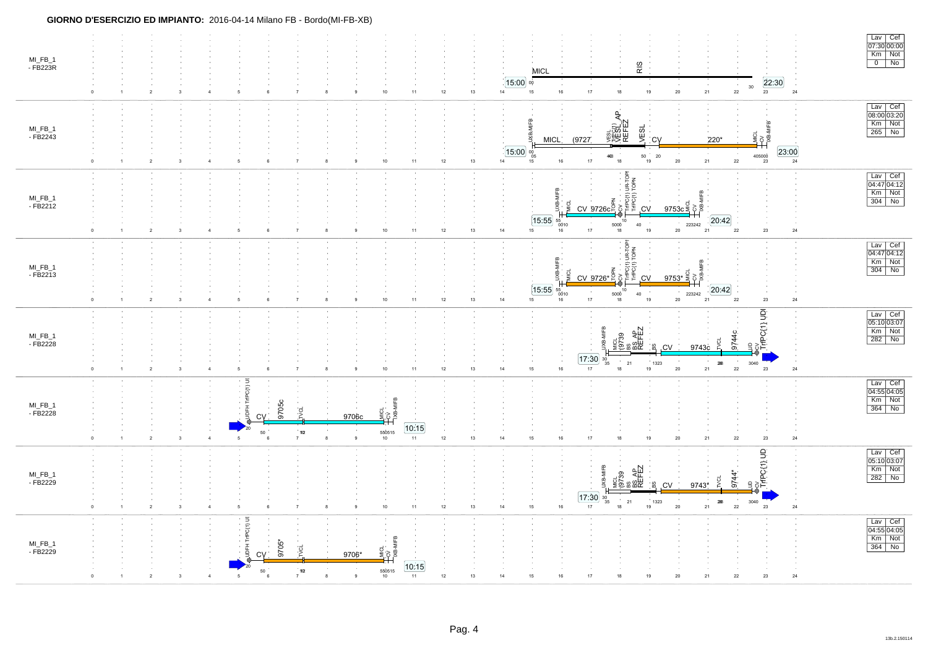| MI_FB_1<br>- FB223R    | $\overline{1}$               | $\sqrt{2}$     | $\mathbf{3}$<br>$\overline{4}$            | 5   | $\,6\,$                                         | $\overline{7}$                         | 8  | 9                       | $10$                                      | 11                      | 12<br>13     | $15:00$ %<br>14 | <b>MICL</b><br>$15\,$<br>$16\,$                              | $17\,$                                            | RIS<br>$18\,$                                                               | 19                              | $20\,$                    | ${\bf 21}$<br>$22\,$                           | 22:30<br>$30\,$<br>23                            | 24            | $\begin{array}{ c c } \hline \text{Lav} & \text{Cef} \\ \hline 07:30 00:00 \hline \end{array}$<br>Km Not<br>$0$   No |
|------------------------|------------------------------|----------------|-------------------------------------------|-----|-------------------------------------------------|----------------------------------------|----|-------------------------|-------------------------------------------|-------------------------|--------------|-----------------|--------------------------------------------------------------|---------------------------------------------------|-----------------------------------------------------------------------------|---------------------------------|---------------------------|------------------------------------------------|--------------------------------------------------|---------------|----------------------------------------------------------------------------------------------------------------------|
| MI_FB_1<br>$-FB2243$   | $\overline{1}$<br>$\Omega$   | $\overline{2}$ | $\overline{\mathbf{3}}$<br>$\overline{4}$ |     |                                                 | $\overline{7}$                         | 8  | 9                       | $10$                                      | 11                      | 13<br>12     | 14              | 4⊮B<br><b>MICL</b><br>$15:00$ $\frac{1}{05}$<br>$16\,$<br>15 | (9727<br>$17\,$                                   | ਟ੍ਰਿ<br><b>VESELY</b><br>VESELY<br>REFEZ<br><b>VESI</b><br>4408<br>18       | <b>CV</b><br>$50\,$<br>20<br>19 | $20\degree$               | 220*<br>$\sim$<br>21<br>22                     | MICL<br>PCV<br>TXB-MIFB<br>405000<br>23          | [23:00]<br>24 | Lav Cef<br>08:00 03:20<br>Km Not<br>$\sqrt{265}$ No                                                                  |
| $MI_FB_1$<br>$-FB2212$ | $\overline{1}$               | $\overline{2}$ | $\mathbf{3}$<br>$\overline{\mathbf{4}}$   | -5  | -6                                              | $\overline{7}$                         | -8 | $\mathbf{a}$            | $10\,$                                    | 11                      | 13<br>$12\,$ | 14              | m<br> 15:55 <br>$^{55}_{0010}$<br>15<br>16                   | ج<br>با CV 9726c 2<br>با CV 9726c 2<br>$17\,$     | es<br>F<br>뷥<br>$\frac{4}{10}$ $\frac{10}{18}$<br>$40\,$                    | ,CV<br>19                       | 9753c<br>223242<br>$20\,$ | 20:42<br>21<br>${\bf 22}$                      | $23\,$                                           | $\bf 24$      | $\frac{Law}{04:47}$ Oef<br>Km Not<br>$304$ No                                                                        |
| $MI_FB_1$<br>- FB2213  | $\overline{1}$<br>$^{\circ}$ | $\overline{2}$ | $\overline{\mathbf{3}}$<br>$\overline{4}$ | 5   | $\,6\,$                                         | $\overline{7}$                         | 8  | 9                       | $10\,$                                    | 11                      | 12<br>13     | 14              | 흐<br>$\overline{15:55}$ $\frac{55}{0010}$<br>15<br>16        | $\frac{2}{5}$<br>CV 9726* $\frac{2}{5}$<br>$17\,$ | UR-TOPI<br>TOPN<br>$\overline{\xi}\overline{\xi}$<br>10<br>5000<br>40<br>18 | .CV<br>9753*<br>19              | 223242<br>20              | 20:42<br>22<br>21                              | 23                                               | 24            | Lav Cef<br>04:47 04:12<br>Km Not<br>$304$ No                                                                         |
| MI_FB_1<br>- FB2228    | $^{\circ}$                   | $\overline{2}$ | $\mathbf{3}$<br>$\overline{4}$            |     |                                                 | $\overline{7}$                         |    |                         | $10\,$                                    | 11                      | 12<br>13     | 14              | 15<br>$16\,$                                                 | 17:30<br>$\substack{30 \\ 35}$<br>17              | ES<br>SOFEZ<br>REFEZ<br>MICL<br>(9739<br>21<br>$18\,$                       | 8<br><b>CV</b><br>1323<br>19    | 9743c<br>$20\,$           | 9744 <sub>C</sub><br>$26B$<br>${\bf 21}$<br>22 | cy<br>TriPC(1) UDI<br>$\mathbf{R}$<br>3040<br>23 | ${\bf 24}$    | Lav Cef<br>$\frac{24}{05:10}$ 03:07<br>Km Not<br>282 No                                                              |
| MI_FB_1<br>- FB2228    | $\overline{1}$               | $\overline{2}$ | 3<br>$\overline{4}$                       | - 5 | $\overline{5}$<br>PC(1)<br><b>CV</b><br>50<br>6 | 9705c<br>್ತರ<br>1102<br>$\overline{7}$ | 8  | 9706c<br>$\mathsf g$    | MICL<br>CV<br>NB-MIFB<br>550515<br>10     | [10:15]<br>$11 -$       | 12<br>13     | 14              | $15\,$<br>$16\,$                                             | $17\,$                                            | 18                                                                          | 19                              | $20\,$                    | 21<br>$22\,$                                   | 23                                               | $\bf 24$      | Lav Cef<br>04:55 04:05<br>Km Not<br>$364$ No                                                                         |
| MI_FB_1<br>- FB2229    | $\overline{1}$               | $\overline{2}$ | $\overline{\mathbf{3}}$<br>$\overline{4}$ | -5  | -6                                              | $\overline{7}$                         | 8  | 9                       | 10 <sub>10</sub>                          | 11                      | 12<br>13     | 14              | 15<br>16                                                     | MIFB<br>17:30<br>$\frac{30}{35}$<br>17            | ۵Ľ<br>MICL<br>(9739<br>ិននីក្ន<br>$21\,$<br>18                              | 3<br><b>CV</b><br>1323<br>19    | 9743*<br>20               | 9744<br>$26B$<br>$\bf{22}$<br>${\bf 21}$       | PC(1) UD<br>3040<br>23                           | $\bf 24$      | Lav Cef<br>05:10 03:07<br>Km Not<br>282 No                                                                           |
| MI_FB_1<br>- FB2229    |                              |                |                                           |     | $\overline{5}$<br>PC(1)<br>C <sub>V</sub><br>50 | 9705*<br>ion<br>no.<br>$\overline{7}$  | 8  | 9706*<br>$\mathfrak{g}$ | <b>MICLES</b><br>Top MIFB<br>550515<br>10 | [10:15]<br>11<br>$12\,$ | 13           | 14              | 15<br>$16\,$                                                 | 17                                                |                                                                             | 19                              | $20\,$                    | ${\bf 21}$<br>$22\,$                           | $23\,$                                           | ${\bf 24}$    | Lav Cef<br>04:55 04:05<br>Km Not<br>$364$ No                                                                         |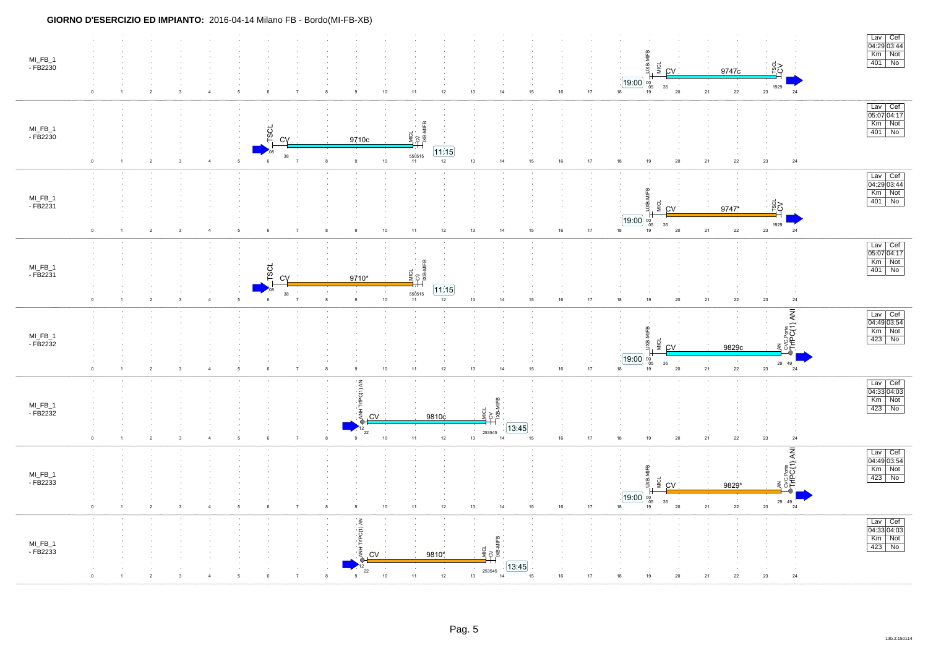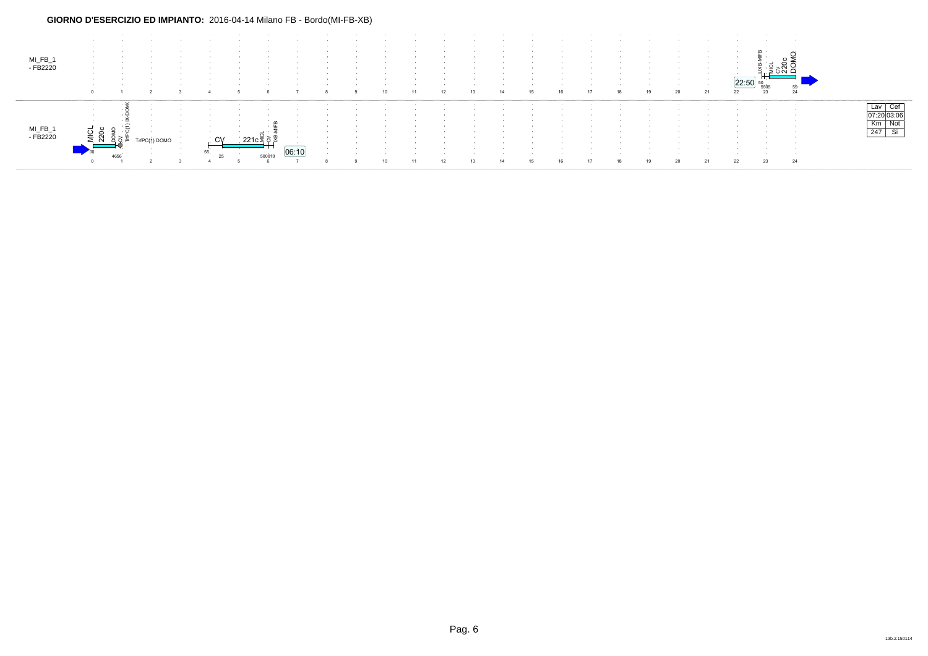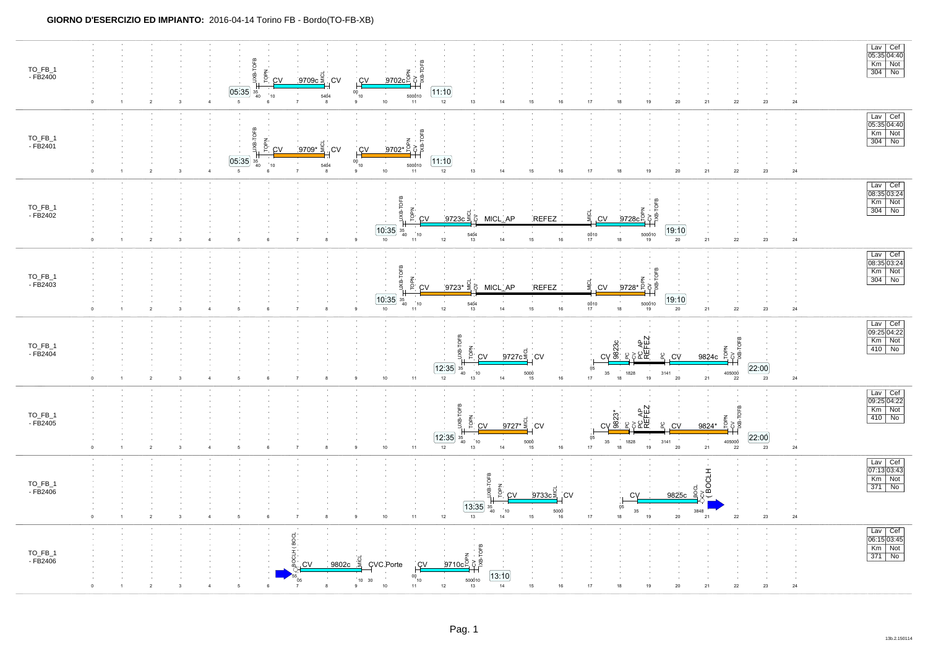| TO_FB_1<br>- FB2400 | JXB-TOFB<br>TOPN<br>.<br>9709c 등<br><u>9702c은</u> 호홀<br>.CV<br>C <sub>1</sub><br>CV<br>$\overline{05:35}$<br>11:10<br>00<br>$\frac{35}{40}$<br>500010<br>$^{\degree}$ 10<br>5404<br>10<br>10<br>$12\,$<br>$17\,$<br>$18\,$<br>$5\phantom{.0}$<br>$13$<br>14<br>15<br>16<br>19<br>${\bf 22}$<br>23<br>$\overline{2}$<br>$\mathbf{3}$<br>$\overline{4}$<br>11<br>$20\,$<br>21<br>$\Omega$<br>8<br>9                                                                                                                                                                                                          | Lav Cef<br>05:35 04:40<br>Km Not<br>$24\,$                                                                                                                                                                        |
|---------------------|------------------------------------------------------------------------------------------------------------------------------------------------------------------------------------------------------------------------------------------------------------------------------------------------------------------------------------------------------------------------------------------------------------------------------------------------------------------------------------------------------------------------------------------------------------------------------------------------------------|-------------------------------------------------------------------------------------------------------------------------------------------------------------------------------------------------------------------|
| TO_FB_1<br>- FB2401 | <b>JXB-TOFB</b><br>$\alpha$<br><b>TOPN</b><br>ਂ9709* ≅<br><u>9702* E</u><br>ax<br>S<br>CV<br><b>CV</b><br>C <sub>V</sub><br>[05:35]<br>11:10<br>$00^{10}_{10}$<br>$\frac{35}{40}$<br>5404<br>500010<br>10<br>10 <sub>10</sub><br>12<br>18<br>$\overline{4}$<br>$5\phantom{.0}$<br>$\bf{8}$<br>$13$<br>14<br>15<br>16<br>$17$<br>19<br>20<br>21<br>$22\,$<br>23<br>$\overline{2}$<br>$\mathbf{3}$<br>$\overline{7}$<br>9<br>11<br>$\circ$                                                                                                                                                                   | Lav Cef<br>05:35 04:40<br>Km Not<br>304 No<br>24                                                                                                                                                                  |
| TO_FB_1<br>- FB2402 | UXB-TOFB<br>IXB-TO<br>TOPN<br>$9723c \stackrel{\text{d}}{\geq} 8$<br>MICL AP<br>REFEZ<br>CV<br>9728 $c^{\overline{2}}$<br><b>CV</b><br>δ<br>19:10<br>$\boxed{10.35}$ $\frac{35}{40}$<br>$\sim$<br>$10$<br>$\sim$<br>$\frac{00}{17}$ 10<br>$\begin{array}{c} 500\dot{0}10 \\ 19 \end{array}$<br>$\frac{5404}{13}$<br>22<br>10 <sub>10</sub><br>12<br>14<br>15<br>16<br>18<br>$20\,$<br>21<br>23<br>$\overline{2}$<br>$\mathfrak{g}$<br>11<br>$\Omega$<br>8                                                                                                                                                  | $\begin{array}{ c c } \hline \text{Lav} & \text{Cef} \\ \hline 08:35 & 03:24 \\ \hline \end{array}$<br>$\begin{array}{ l c c }\n\hline\n\text{Km} & \text{Not} \\ \hline\n304 & \text{No}\n\end{array}$<br>$24\,$ |
| TO_FB_1<br>- FB2403 | UXB-TOFB<br>XB-TOFB<br>LÖbl<br><u>ੁੰ9723* ਤ</u> ੋਂ<br><u>9728* p</u><br>& MICL AP<br><b>REFEZ</b><br>.CV<br>CV<br>$\sqrt{19:10}$<br>$\boxed{10.35}$ $^{35}_{40}$<br>10 <sup>1</sup><br>5404<br>$\frac{0010}{17}$<br>500010<br>10<br>$20\,$<br>12<br>13<br>$14\,$<br>15<br>16<br>18<br>19<br>21<br>22<br>23<br>$\overline{2}$<br>11<br>$\overline{1}$<br>3<br>$\overline{7}$<br>8<br>$\Omega$<br>$\overline{4}$<br>5                                                                                                                                                                                        | Lav Cef<br>08:35 03:24<br>Km Not<br>304 No<br>$\bf{24}$                                                                                                                                                           |
| TO_FB_1<br>- FB2404 | JXB-TOFB<br>요<br>오주 <b>라</b><br>오주토<br>오주<br>CV<br>IXB-TOFB<br>$\frac{825}{9825}$<br>TOPN<br>9727c<br>$9824c$ $\frac{5}{5}$<br>PC.<br>CV<br>:CV<br>.CV<br>$\boxed{12.35}$<br>22:00<br>05<br>$\frac{35}{40}$<br>405000<br>10<br>5000<br>$35\,$<br>1828<br>3141<br>$19$<br>$17$<br>$18\,$<br>$21\,$<br>23<br>$11$<br>$12\,$<br>$14$<br>16<br>${\bf 20}$<br>$\overline{2}$<br>$10$<br>$13$<br>15<br>${\bf 22}$<br>3                                                                                                                                                                                           | Lav Cef<br>09:25 04:22<br>$Km$ Not<br>$410$ No<br>$24\,$                                                                                                                                                          |
| TO_FB_1<br>- FB2405 | JXB-TOFB<br>요<br>정치 정신<br>오 연도도<br>오 연도<br>$\begin{array}{c}\n\text{Top} \text{N} \rightarrow \text{SOFB} \text{N} \rightarrow \text{SOFB} \text{N} \end{array}$<br>$c\chi \frac{\dot{\tilde{c}}3}{8}$<br>TOPN<br><u>972</u> 7* <sup>ਹੁੰ</sup><br>ပ္စ<br>CV<br>.CV<br>.CV<br>9824*<br>[12:35]<br>[22:00]<br>05<br>$\frac{35}{40}$<br>10<br>405000<br>22<br>$\begin{array}{r} 5000 \\ 15 \end{array}$<br>$35\,$<br>1828<br>3141<br>$11\,$<br>$12\,$<br>16<br>17<br>18<br>19<br>21<br>23<br>$10\,$<br>14<br>20<br>$\overline{2}$<br>13<br>3<br>$\overline{4}$<br>-5<br>$\Omega$<br>$\overline{7}$<br>-8<br>۰ | Lav Cef<br>09:25 04:22<br>$\frac{km}{km}$ Not<br>24                                                                                                                                                               |
| TO_FB_1<br>- FB2406 | <b>BOCLH</b><br>TOFB<br>UXB-<br>$9733c\frac{5}{5}$<br>.cv<br>CV<br>CV<br>9825c<br>[13:35]<br>$05\,$<br>$\frac{35}{40}$<br>$\sim$ 1 $\sim$<br>$\sim$<br>10 <sup>1</sup><br>$35\,$<br>3848<br>5000<br>18<br>$11\,$<br>17<br>$19$<br>$10\,$<br>$12\,$<br>$13\,$<br>15<br>${\bf 20}$<br>$22\,$<br>23<br>$\sqrt{2}$<br>3<br>$\sqrt{4}$<br>$\overline{7}$<br>14<br>16<br>21<br>$\mathbf 0$<br>5<br>8                                                                                                                                                                                                             | Lav Cef<br>07:13 03:43<br>Km Not<br>371 No<br>$24\,$                                                                                                                                                              |
| TO_FB_1<br>- FB2406 | CLH (BOCL<br>$\begin{array}{c}\n 9710c2 \\  +35c2 \\  +11c2 \\  +11c2 \\  +11c2 \\  +11c2 \\  +11c2 \\  +11c2 \\  +11c2 \\  +11c2 \\  +11c2 \\  +11c2 \\  +11c2 \\  +11c2 \\  +11c2 \\  +11c2 \\  +11c2 \\  +11cMICL9802cCVC.PorteCVCV13:1000\begin{array}{r} 500\dot{0}10 \\ 13 \end{array}10\quad 30101012\,141115161718\,19212223\overline{4}-620\mathcal{P}89$                                                                                                                                                                                                                                         | $\begin{array}{ c c } \hline \text{Lav} & \text{Cef} \\ \hline 06:15 & 03:45 \\ \hline \end{array}$<br><b>Km</b> Not<br>24                                                                                        |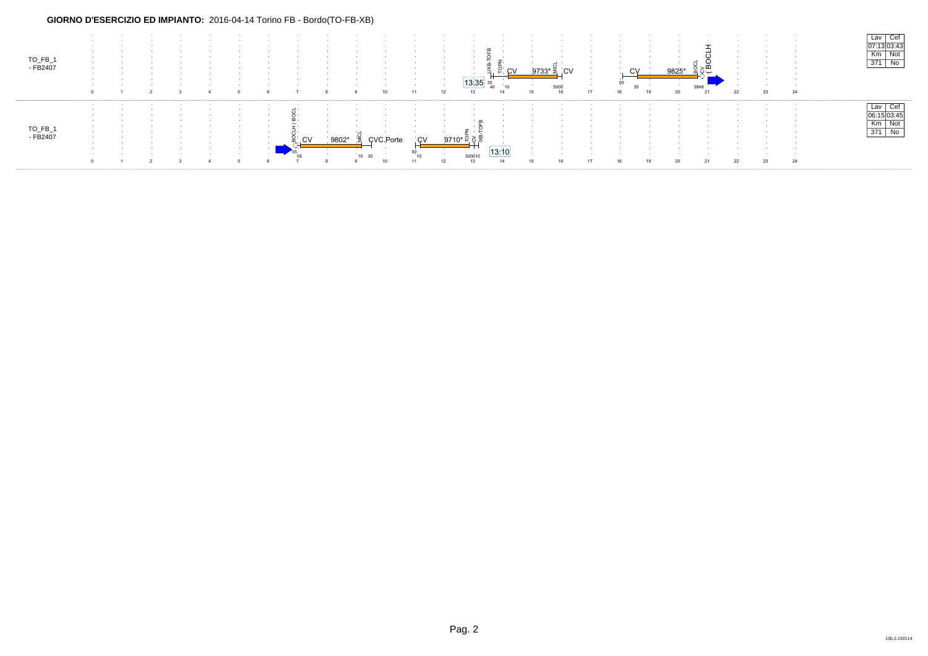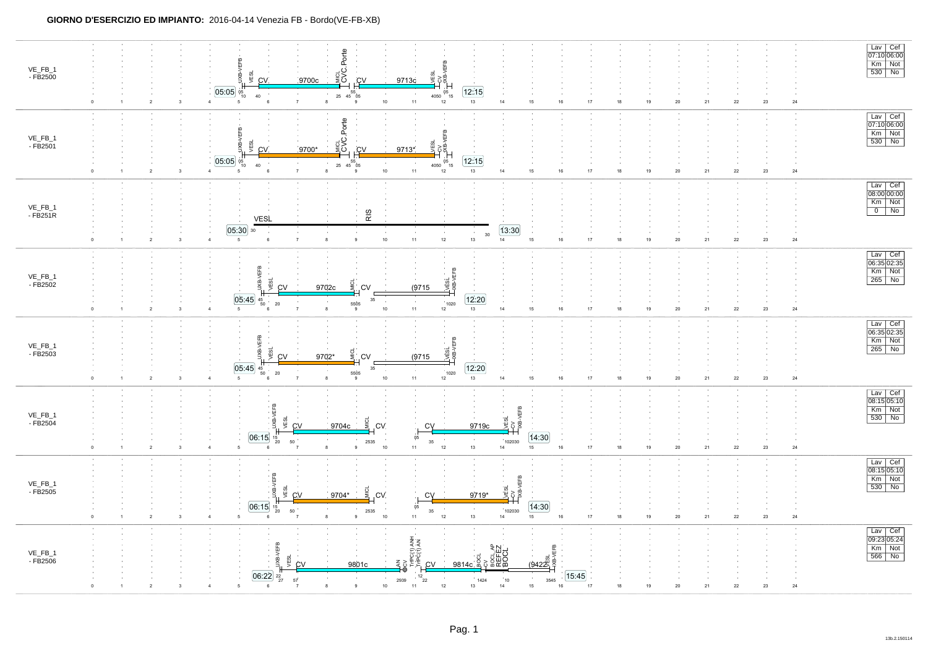| VE_FB_1<br>- FB2500<br>$\Omega$   | $\overline{2}$<br>$\overline{\mathbf{3}}$ | Porte<br>JXB-VEFB<br>e<br>ES<br>VESL<br>֞֞׆֛ <sup>֥</sup><br>֡׀֛֛<br><u>cv</u><br>CV.<br>9700c<br>9713c<br>[05:05]<br>12:15<br>$05$ <sub>15</sub><br>$05$ <sub>10</sub><br>40<br>4050 $^{\circ}$<br>$10\,$<br>11<br>12<br>13<br>$\overline{4}$<br>7<br>14<br>15<br>16<br>17<br>18<br>19<br>20<br>21<br>22<br>23<br>8<br>9<br>5<br>-6                                                                                                                                                                                                                                                                                                                                                                                                                                      | Lav Cef<br>07:10 06:00<br>Km Not<br>$\frac{1}{530}$ No<br>24 |
|-----------------------------------|-------------------------------------------|---------------------------------------------------------------------------------------------------------------------------------------------------------------------------------------------------------------------------------------------------------------------------------------------------------------------------------------------------------------------------------------------------------------------------------------------------------------------------------------------------------------------------------------------------------------------------------------------------------------------------------------------------------------------------------------------------------------------------------------------------------------------------|--------------------------------------------------------------|
| VE_FB_1<br>- FB2501               | $\sqrt{2}$<br>$\overline{\mathbf{3}}$     | Porte<br><b>ELB</b><br>⊴ ບ<br>≣ບ<br><b>VESL</b><br>UXB-<br>ÆSL<br>3성<br><u>CV</u><br>CV.<br>9700*<br>9713*<br>12:15<br>05:05<br>$4050 \begin{array}{c} 05 \\ 15 \end{array}$<br>$\begin{matrix} & & 55 \\ 25 & 45 & 05 \end{matrix}$<br>$^{05}_{10}$<br>40<br>$13\,$<br>$18\,$<br>$\overline{7}$<br>9<br>$10\,$<br>11<br>$12\,$<br>14<br>15<br>$16\,$<br>$17\,$<br>19<br>$20\,$<br>${\bf 21}$<br>${\bf 22}$<br>$23\,$<br>$\overline{4}$<br>6<br>8                                                                                                                                                                                                                                                                                                                         | Lav Cef<br>07:10 06:00<br>Km Not<br>530 No<br>$\bf 24$       |
| VE_FB_1<br>- FB251R<br>$\circ$    | $\overline{2}$<br>3                       | RIS<br><b>VESL</b><br>[05:30]<br>13:30<br>30<br>30<br>$12\,$<br>$\overline{14}$<br>$5\phantom{.0}$<br>$11$<br>$13\,$<br>16<br>$17\,$<br>$\overline{7}$<br>$\,9$<br>$10$<br>$15\,$<br>$18\,$<br>19<br>$20\,$<br>${\bf 21}$<br>23<br>$\overline{4}$<br>8<br>${\bf 22}$<br>6                                                                                                                                                                                                                                                                                                                                                                                                                                                                                                 | $\frac{Law}{08:00 00:00}$<br>$\frac{Km}{0}$ Not<br>$\bf 24$  |
| VE_FB_1<br>- FB2502<br>$\Omega$   | $\overline{2}$<br>$\overline{\mathbf{3}}$ | <b>VEFB</b><br>Lvesi.<br>-xs-ve <del>r</del> s<br>VESL<br>-ax<br>9702c<br><b>CV</b><br>(9715)<br>CV<br>$\sqrt{12:20}$<br>$[05.45]_{45}$<br>35<br>$\sim$<br>5505<br>1020<br>$20\,$<br>50<br>$10$<br>${\bf 11}$<br>12<br>$13\,$<br>$\overline{5}$<br>15 <sub>15</sub><br>16<br>$17\,$<br>$18\,$<br>$19$<br>$20\,$<br>$\bf 22$<br>$23\,$<br>$\overline{7}$<br>14<br>${\bf 21}$<br>$\mathbf{g}$<br>$\mathbf{g}$                                                                                                                                                                                                                                                                                                                                                               | Lav Cef<br>06:35 02:35<br>Km Not<br>265 No<br>24             |
| VE_FB_1<br>- FB2503<br>$^{\circ}$ | $\sqrt{2}$<br>3                           | yEFB<br>VESL<br>KB-VEFB<br>VESL<br>UXB-<br>9702*<br><b>CV</b><br>(9715)<br>CV<br>[05:45]<br>12:20<br>$35\,$<br>45<br>50<br>5505<br>1020<br>$20\,$<br>$\overline{7}$<br>10<br>11<br>$12\,$<br>13<br>$14$<br>15<br>$16\,$<br>17<br>18<br>19<br>$20\,$<br>21<br>22<br>23<br>5<br>8<br>9                                                                                                                                                                                                                                                                                                                                                                                                                                                                                      | Lav Cef<br>06:35 02:35<br>Km Not<br>$265$ No<br>${\bf 24}$   |
| VE_FB_1<br>- FB2504               | $\sqrt{2}$<br>3                           | ŒЕВ<br><b>IXB-VEFB</b><br>ะี cv<br>ė<br><b>Digital</b><br>9704c<br>9719c<br>.CV<br>CV<br>06:15<br>14:30<br>$\frac{15}{20}$<br>05<br>$\sim$<br>35<br>102030<br>50<br>2535<br>$13\,$<br>$10$<br>$11$<br>$12\,$<br>15 <sub>15</sub><br>$17\,$<br>$18\,$<br>5<br>9<br>14<br>16<br>$19\,$<br>$20\,$<br>${\bf 21}$<br>${\bf 22}$<br>23                                                                                                                                                                                                                                                                                                                                                                                                                                          | Lav Cef<br>08:15 05:10<br>Km Not<br>530 No<br>$\bf 24$       |
| VE_FB_1<br>- FB2505<br>$\circ$    | $\boldsymbol{2}$<br>3                     | /EFB<br>XB-VEFB<br>VESL<br>¢<br>이<br>기<br>9704*<br>9719*<br>CV<br><b>CV</b><br>CV<br>14:30<br>06:15<br>05<br>15<br>20<br>$35\,$<br>102030<br>$50\,$<br>2535<br>$10$<br>$11\,$<br>$12\,$<br>$13\,$<br>16<br>$17\,$<br>$18\,$<br>14<br>15<br>19<br>$20\,$<br>${\bf 22}$<br>23<br>$\mathbf{q}$<br>21<br>$\overline{4}$<br>5<br>8<br>-6                                                                                                                                                                                                                                                                                                                                                                                                                                       | $\frac{Law}{08:15}$ Os:10<br>Km Not<br>24                    |
| VE_FB_1<br>- FB2506               |                                           | TriPC(1) ANH<br>/EFB<br>$\begin{array}{l} \approx \frac{1}{2} \frac{1}{2} \frac{1}{2} \frac{1}{2} \frac{1}{2} \frac{1}{2} \frac{1}{2} \frac{1}{2} \frac{1}{2} \frac{1}{2} \frac{1}{2} \frac{1}{2} \frac{1}{2} \frac{1}{2} \frac{1}{2} \frac{1}{2} \frac{1}{2} \frac{1}{2} \frac{1}{2} \frac{1}{2} \frac{1}{2} \frac{1}{2} \frac{1}{2} \frac{1}{2} \frac{1}{2} \frac{1}{2} \frac{1}{2} \frac{1}{2} \frac{1}{2} \frac{1}{2} \$<br>vESL<br>й,<br><u>(9422)</u><br>⋚⋛<br><b>CV</b><br>9801c<br><b>CV</b><br>9814c କି<br>$\overline{06:22}$ $\frac{22}{27}$<br>15:45<br>$12$ <sub>22</sub><br>$\sim$<br>$\sim$<br>57<br>2939<br>1424<br>10 <sup>°</sup><br>3545<br>10<br>$\overline{9}$<br>11<br>12<br>13<br>14<br>15<br>16<br>17<br>18<br>19<br>$20\,$<br>23<br>6<br>21<br>22 | Lav Cef<br>09:23 05:24<br>Km Not<br>566 No<br>24             |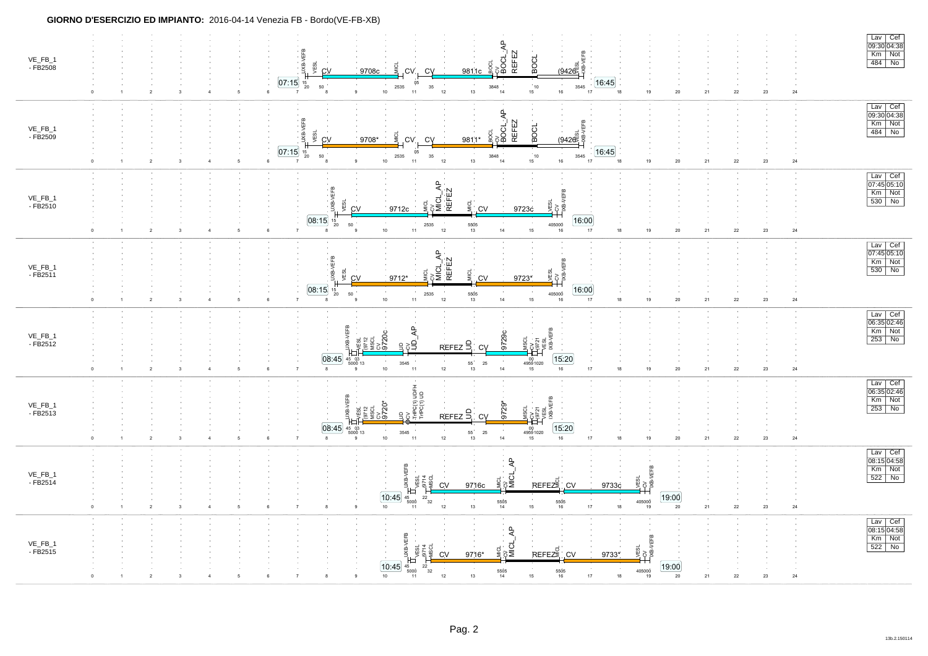| VE_FB_1<br>- FB2508 | $\frac{1}{\text{BOL} \_ \text{AP}}$<br>REFEZ<br>JXB-VEFB<br>BOCL<br>yESL<br>$(9426)$<br>g<br><b>CV</b><br>9708c<br>CV.<br><b>CV</b><br>9811c<br>[07:15]<br>[16:45]<br>05<br>15<br>20<br>$\sim$ 10<br>2535<br>$\begin{array}{c} 10 \\ 15 \end{array}$<br>3545<br>$50\,$<br>$35\,$<br>3848<br>$10\,$<br>$11$<br>$12\,$<br>$13\,$<br>$16\,$<br>17<br>$18$<br>19<br>$20\,$<br>$23\,$<br>6<br>9<br>14<br>21<br>${\bf 22}$<br>5<br>$\overline{7}$                    | Lav Cef<br>09:30 04:38<br>Km Not<br>484 No<br>$\bf 24$ |
|---------------------|----------------------------------------------------------------------------------------------------------------------------------------------------------------------------------------------------------------------------------------------------------------------------------------------------------------------------------------------------------------------------------------------------------------------------------------------------------------|--------------------------------------------------------|
| VE_FB_1<br>- FB2509 | <b>BOCL_AP</b><br>JXB-VEFB<br>REFEZ<br>BOCL<br><b>BOCL</b><br>VE <sub>SL</sub><br><u>(9426일</u> 후<br>CV<br>9708*<br>9811*<br><b>CV</b><br>CV<br>$\overline{07:15}$<br>[16:45]<br>05<br>15<br>20<br>2535<br>$35\,$<br>$\begin{array}{c} 10 \\ 15 \end{array}$<br>3545<br>50<br>3848<br>$11$<br>$13\,$<br>$\overline{9}$<br>$10\,$<br>$12\,$<br>16<br>17<br>19<br>$20\,$<br>14<br>18<br>21<br>${\bf 22}$<br>$23\,$<br>6<br>$\overline{2}$<br>5<br>$\overline{7}$ | Lav Cef<br>09:30 04:38<br>Km Not<br>484 No<br>$24\,$   |
| VE_FB_1<br>- FB2510 | $\approx$<br>JXB-VEFB<br><b>REFEZ</b><br>m<br>io<br>≳š<br>VESL<br>à ≶<br><b>CV</b><br>9712c<br><b>CV</b><br>9723c<br>[08:15]<br>16:00<br>15<br>20<br>50<br>5505<br>13<br>405000<br>2535<br>10<br>$12\,$<br>11<br>14<br>15<br>$16\,$<br>$17\,$<br>18<br>19<br>$20\,$<br>21<br>${\bf 22}$<br>$23\,$<br>$\overline{2}$<br>6                                                                                                                                       | Lav Cef<br>07:45 05:10<br>Km Not<br>530 No<br>$\bf 24$ |
| VE_FB_1<br>- FB2511 | $\overline{A}$<br>JXB-VEFB<br><b>REFEZ</b><br>$T_{\text{VB-VEFS}}$<br>ior<br>∛<br>VESL<br>ರ<br>$\overline{C}$<br>CV<br>9723*<br>9712*<br><b>CV</b><br>08:15<br>[16:00]<br>15<br>20<br>50<br>5505<br>13<br>405000<br>2535<br>$10\,$<br>$12\,$<br>$11$<br>$14$<br>15 <sub>15</sub><br>17<br>$18\,$<br>$19$<br>$20\,$<br>$\overline{2}$<br>$\,6\,$<br>$\overline{7}$<br>8<br>$16\,$<br>21<br>${\bf 22}$<br>$23\,$<br>-5                                           | Lav Cef<br>07:45 05:10<br>Km Not<br>530 No<br>$\bf 24$ |
| VE_FB_1<br>- FB2512 | ∉₽<br>ਟ੍ਰਿ<br>VESL<br>XB-VEFB<br>3720c<br>9729c<br>$T_{9721}^{\rm CV}$<br>39<br>$REFEZ$ $\frac{6}{5}$<br><b>CV</b><br>[08:45]<br>15:20<br>$\frac{00}{4959}$ 1020<br>3545<br>$\begin{array}{c} 55 \\ 13 \end{array}$<br>25<br>$10\,$<br>$12\,$<br>$14\,$<br>$11$<br>15 <sub>15</sub><br>16<br>$17\,$<br>$18\,$<br>$19$<br>$20\,$<br>$\overline{2}$<br>21<br>${\bf 22}$<br>$23\,$<br>$\mathbf{a}$<br>6<br>$\mathbf{Q}$                                           | Lav Cef<br>06:35 02:46<br>Km Not<br>253 No<br>24       |
| VE_FB_1<br>- FB2513 | <b>G(1) UDFH</b><br>C(1) UD<br>JXB-VEFB<br>್ದ<br>೧೯೭೯<br>$9729*$<br>vESL<br>"12<br>REFEZ<br>CV<br>[08:45]<br>15:20<br>$45 \t 03 \t 5000 \t 13$<br>$00$<br>49591020<br>$\sim$<br>3545<br>$\begin{array}{c} 55 \\ 13 \end{array}$<br>25<br>10<br>12<br>$14$<br>16<br>17<br>18<br>19<br>20<br>8<br>11<br>15<br>21<br>22<br>23<br>$\overline{2}$<br>6<br>$\mathbf{q}$                                                                                              | Lav Cef<br>06:35 02:46<br>Km Not<br>253 No<br>24       |
| VE_FB_1<br>- FB2514 | ௨<br>⋖<br>UXB-VEFB<br><b>ESL</b><br>9714<br>s≧<br>REFEZE<br>3 뽀<br>CV<br>9716c<br>.CV<br>9733c<br>Ю<br>$\boxed{10:45}$<br>[19:00]<br>$22 \choose 32$<br>$^{45}_{5000}$<br>$\sim 10^{-1}$<br>$\sim$<br>$\sim$<br>5505<br>14<br>405000<br>5505<br>16<br>$10$<br>$12\,$<br>17<br>$13$<br>15<br>18<br>20<br>21<br>${\bf 22}$<br>$23\,$<br>$\overline{2}$<br>8<br>$\mathbf{q}$<br>11<br>19<br>$\overline{\mathbf{3}}$<br>$\overline{4}$                             | Lav Cef<br>08:15 04:58<br>Km Not<br>522 No<br>$\bf 24$ |
| VE_FB_1<br>- FB2515 | $\frac{1}{2}$ MICL_AP<br>$\frac{1}{100}$ $\frac{1}{100}$ $\frac{1}{100}$ $\frac{1}{100}$ $\frac{1}{100}$ $\frac{1}{100}$ $\frac{1}{100}$<br>LVESL<br>LCV<br>LXB-VEFB<br>REFEZE<br>CV<br>9716*<br>.CV<br>9733*<br>$\overline{10:45}$<br>19:00<br>$\begin{array}{r} 405000 \\ 19 \end{array}$<br>$\frac{5505}{14}$<br>5505<br>16<br>10<br>$12\,$<br>$13\,$<br>15 <sub>15</sub><br>17<br>18<br>20<br>$\bf 22$<br>$23\,$<br>21<br>$\overline{2}$                   | Lav Cef<br>08:15 04:58<br>Km Not<br>522 No<br>24       |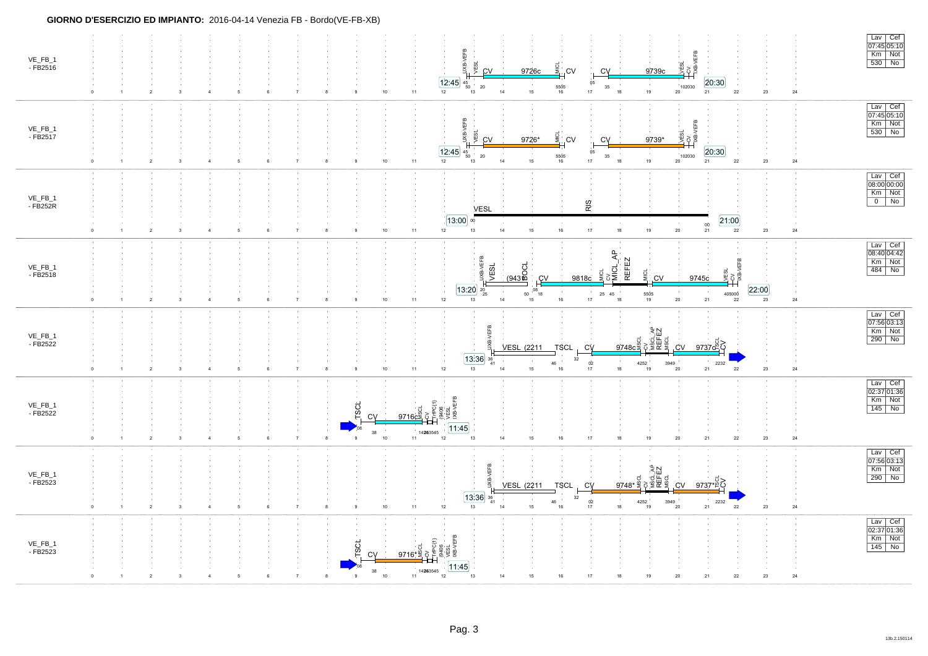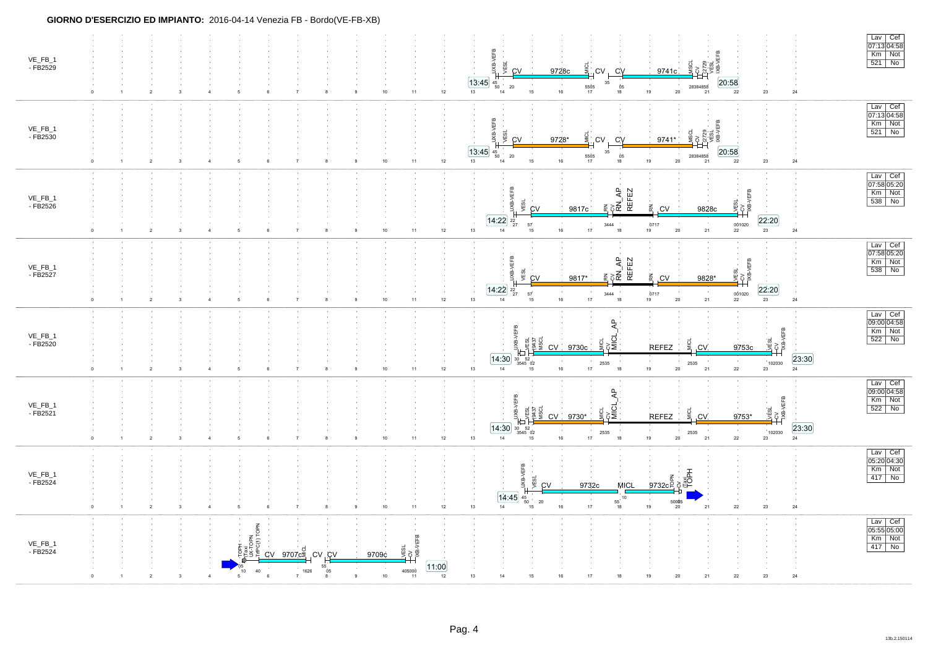| VE_FB_1<br>- FB2529 | $\mathbf{1}$               | $\overline{2}$                 | $\sqrt{5}$ | $6\phantom{.0}$<br>$\overline{7}$                                                  | $10$                     | $12\,$<br>$11$                                                                                 | ÆSL<br><b>SHIS</b><br>9728c<br><b>CV</b><br>CV<br>9741c<br><b>CV</b><br>20:58<br>[13:45]<br>35<br>$\frac{45}{50}$<br>5505<br>17<br>$\frac{05}{18}$<br>28384858<br>20<br>19<br>13<br>15<br>16<br>20<br>22<br>$\bf 23$<br>$\bf 24$<br>21<br>14                                                                                                           | Lav Cef<br>07:13 04:58<br>Km Not<br>521 No |
|---------------------|----------------------------|--------------------------------|------------|------------------------------------------------------------------------------------|--------------------------|------------------------------------------------------------------------------------------------|--------------------------------------------------------------------------------------------------------------------------------------------------------------------------------------------------------------------------------------------------------------------------------------------------------------------------------------------------------|--------------------------------------------|
| VE_FB_1<br>- FB2530 |                            | $\overline{2}$                 |            | $\,6\,$                                                                            | 10                       | $12\,$<br>$11$                                                                                 | EFB<br>Ψã<br>g<br>등<br>9728*<br>CV<br>CV<br>9741*<br><b>CV</b><br>20:58<br>13:45<br>45<br>- 35<br>5505<br>28384858<br>20<br>$\frac{\dot{0}5}{18}$<br>50<br>19<br>13<br>15<br>22<br>$\bf 24$<br>$14$<br>$16\,$<br>17<br>20<br>$23\,$<br>21                                                                                                              | Lav Cef<br>07:13 04:58<br>Km Not<br>521 No |
| VE_FB_1<br>- FB2526 |                            | $\overline{2}$                 |            | $6\phantom{.0}$                                                                    | 10                       | 11<br>12                                                                                       | ë<br>$\overline{A}$<br><b>REFEZ</b><br>m<br>Ų<br>VESL<br>gx<br>ψ<br>$\vec{a}$ ខ្ញុំដឹ<br>$\tilde{\mathbb{R}}$<br><b>CV</b><br>9817c<br>, CV<br>9828c<br>$\overline{14:22}$ $\frac{22}{27}$<br>22:20<br>0717<br>001020<br>57<br>3444<br>20<br>21<br>23<br>$13\,$<br>$14$<br>16<br>17<br>18<br>19<br>22<br>$\bf 24$<br>15                                | Lav Cef<br>07:58 05:20<br>Km Not<br>538 No |
| VE_FB_1<br>- FB2527 | $\overline{2}$<br>$\Omega$ |                                | 5          | 6                                                                                  | $10$                     | $12\,$<br>11                                                                                   | RN<br>PN_AP<br>REFEZ<br>REFEZ<br>VEFB<br>Ξ<br>8 ≶<br>웂<br>ĊV<br>9817*<br>.CV<br>9828*<br>22:20<br>$\overline{14:22}$ $\frac{22}{27}$<br>57<br>$\begin{array}{c} 0717 \\ 19 \end{array}$<br>001020<br>3444<br>$16\,$<br>$17\,$<br>${\bf 20}$<br>$23\,$<br>$\mathbf{24}$<br>13<br>$14$<br>18<br>$\mathbf{21}$<br>${\bf 22}$<br>15                        | Lav Cef<br>07:58 05:20<br>Km Not<br>538 No |
| VE_FB_1<br>- FB2520 |                            | $\overline{2}$                 |            | 6                                                                                  | 10                       | 11<br>12                                                                                       | $\overline{A}$<br>JXB-VEFB<br>VEFB<br>ะ<br>≽ี<br>ESI 350<br>yÉSL<br>호홀<br>CV<br><b>REFEZ</b><br>9730c<br>.CV<br>9753c<br>[23:30]<br>[14:30]<br>$\begin{array}{r} 30 & 52 \\ 3545 & 02 \end{array}$<br>$\sim$ 10 $\,$<br>102030<br>2535<br>2535<br>18<br>13<br>16<br>19<br>21<br>$22\,$<br>24<br>14<br>15<br>17<br>20<br>23                             | Lav Cef<br>09:00 04:58<br>Km Not<br>522 No |
| VE_FB_1<br>- FB2521 | $\Omega$                   | $\overline{2}$<br>$\mathbf{R}$ | $\sqrt{2}$ | 6<br>$\overline{7}$                                                                | $10$                     | $11$<br>$12\,$                                                                                 | ₹.<br>VEFB<br><b>VEFB</b><br>್ದ<br>ಕ<br>vESL<br>VESL<br>18437<br>MSCL<br>JХВ-<br>g<br>9753*<br><b>CV</b><br>9730*<br><b>REFEZ</b><br>.CV<br>$\frac{23:30}{24}$<br>[14:30]<br>$\begin{array}{r} 30 \quad 52 \\ 3545 \quad 02 \end{array}$<br>102030<br>2535<br>2535<br>$22\,$<br>$14\,$<br>16<br>17<br>$18\,$<br>$19$<br>20<br>21<br>13<br>$23\,$<br>15 | Lav Cef<br>09:00 04:58<br>Km Not<br>522 No |
| VE_FB_1<br>- FB2524 | 0                          | $\overline{2}$                 |            |                                                                                    | $10$                     | 11<br>12                                                                                       | <b>VEFB</b><br>т<br>yESL<br>ğ<br><b>DEL</b><br>9732c<br><b>MICL</b><br>9732cg<br>CV<br>[14:45]<br>$^{45}_{\ 50}$<br>$55^{10}$<br>$\sim$<br>$\sim$<br>20<br>50005<br>13<br>19<br>$\bf 24$<br>14<br>$16\,$<br>17<br>18<br>20<br>$21\,$<br>22<br>23<br>15                                                                                                 | Lav Cef<br>05:20 04:30<br>Km Not<br>417 No |
| VE_FB_1<br>- FB2524 |                            |                                | TOPN<br>40 | $\frac{d}{dx}$ over $\frac{d}{dx}$ cv cv<br>55<br>1626<br>$\overline{7}$<br>6<br>8 | 9709c<br>05<br>$10$<br>9 | VEFB<br>yE <sub>SL</sub><br>i≸ 5<br>11:00<br>$\begin{array}{r} 405000 \\ 11 \end{array}$<br>12 | 14<br>24<br>13<br>15<br>16<br>18<br>19<br>20<br>21<br>${\bf 22}$<br>23<br>17                                                                                                                                                                                                                                                                           | Lav Cef<br>05:55 05:00<br>Km Not           |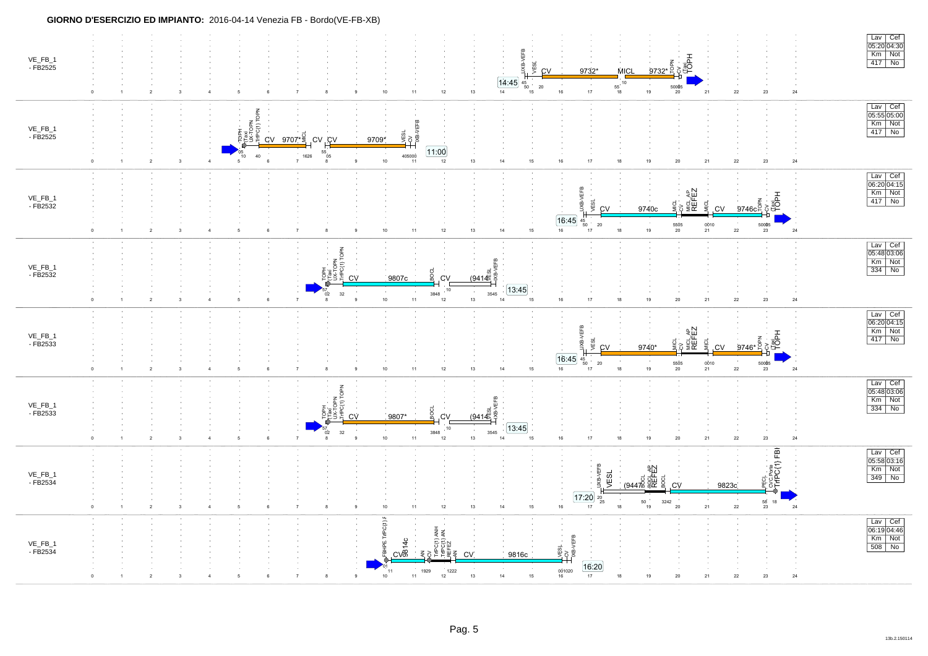